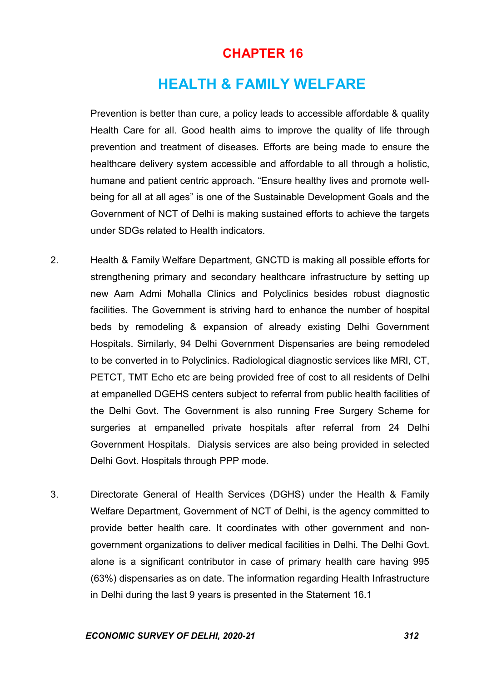# CHAPTER 16

# HEALTH & FAMILY WELFARE

 Prevention is better than cure, a policy leads to accessible affordable & quality Health Care for all. Good health aims to improve the quality of life through prevention and treatment of diseases. Efforts are being made to ensure the healthcare delivery system accessible and affordable to all through a holistic, humane and patient centric approach. "Ensure healthy lives and promote wellbeing for all at all ages" is one of the Sustainable Development Goals and the Government of NCT of Delhi is making sustained efforts to achieve the targets under SDGs related to Health indicators.

- 2. Health & Family Welfare Department, GNCTD is making all possible efforts for strengthening primary and secondary healthcare infrastructure by setting up new Aam Admi Mohalla Clinics and Polyclinics besides robust diagnostic facilities. The Government is striving hard to enhance the number of hospital beds by remodeling & expansion of already existing Delhi Government Hospitals. Similarly, 94 Delhi Government Dispensaries are being remodeled to be converted in to Polyclinics. Radiological diagnostic services like MRI, CT, PETCT, TMT Echo etc are being provided free of cost to all residents of Delhi at empanelled DGEHS centers subject to referral from public health facilities of the Delhi Govt. The Government is also running Free Surgery Scheme for surgeries at empanelled private hospitals after referral from 24 Delhi Government Hospitals. Dialysis services are also being provided in selected Delhi Govt. Hospitals through PPP mode.
- 3. Directorate General of Health Services (DGHS) under the Health & Family Welfare Department, Government of NCT of Delhi, is the agency committed to provide better health care. It coordinates with other government and nongovernment organizations to deliver medical facilities in Delhi. The Delhi Govt. alone is a significant contributor in case of primary health care having 995 (63%) dispensaries as on date. The information regarding Health Infrastructure in Delhi during the last 9 years is presented in the Statement 16.1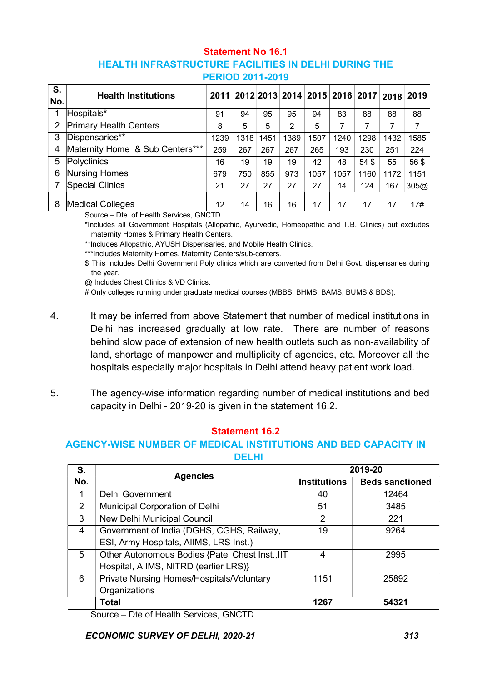#### Statement No 16.1 HEALTH INFRASTRUCTURE FACILITIES IN DELHI DURING THE PERIOD 2011-2019

| S.<br>No.      | <b>Health Institutions</b>      | 2011 |      |      |      | 2012 2013 2014 2015 2016 2017 |      |       | 2018 | 2019 |
|----------------|---------------------------------|------|------|------|------|-------------------------------|------|-------|------|------|
| 1              | Hospitals*                      | 91   | 94   | 95   | 95   | 94                            | 83   | 88    | 88   | 88   |
| $\overline{2}$ | <b>Primary Health Centers</b>   | 8    | 5    | 5    | 2    | 5                             | 7    | 7     | 7    | 7    |
| 3              | Dispensaries**                  | 1239 | 1318 | 1451 | 1389 | 1507                          | 1240 | 1298  | 1432 | 1585 |
| 4              | Maternity Home & Sub Centers*** | 259  | 267  | 267  | 267  | 265                           | 193  | 230   | 251  | 224  |
| 5              | Polyclinics                     | 16   | 19   | 19   | 19   | 42                            | 48   | 54 \$ | 55   | 56\$ |
| 6              | <b>Nursing Homes</b>            | 679  | 750  | 855  | 973  | 1057                          | 1057 | 1160  | 1172 | 1151 |
| 7              | <b>Special Clinics</b>          | 21   | 27   | 27   | 27   | 27                            | 14   | 124   | 167  | 305@ |
| 8              | <b>Medical Colleges</b>         | 12   | 14   | 16   | 16   | 17                            | 17   | 17    | 17   | 17#  |

Source – Dte. of Health Services, GNCTD.

\*Includes all Government Hospitals (Allopathic, Ayurvedic, Homeopathic and T.B. Clinics) but excludes maternity Homes & Primary Health Centers.

\*\*Includes Allopathic, AYUSH Dispensaries, and Mobile Health Clinics.

\*\*\*Includes Maternity Homes, Maternity Centers/sub-centers.

\$ This includes Delhi Government Poly clinics which are converted from Delhi Govt. dispensaries during the year.

@ Includes Chest Clinics & VD Clinics.

# Only colleges running under graduate medical courses (MBBS, BHMS, BAMS, BUMS & BDS).

- 4. It may be inferred from above Statement that number of medical institutions in Delhi has increased gradually at low rate. There are number of reasons behind slow pace of extension of new health outlets such as non-availability of land, shortage of manpower and multiplicity of agencies, etc. Moreover all the hospitals especially major hospitals in Delhi attend heavy patient work load.
- 5. The agency-wise information regarding number of medical institutions and bed capacity in Delhi - 2019-20 is given in the statement 16.2.

#### Statement 16.2

#### AGENCY-WISE NUMBER OF MEDICAL INSTITUTIONS AND BED CAPACITY IN DELHI

| S.             | <b>Agencies</b>                                 | 2019-20             |                        |  |  |
|----------------|-------------------------------------------------|---------------------|------------------------|--|--|
| No.            |                                                 | <b>Institutions</b> | <b>Beds sanctioned</b> |  |  |
| 1              | <b>Delhi Government</b>                         | 40                  | 12464                  |  |  |
| $\overline{2}$ | Municipal Corporation of Delhi                  | 51                  | 3485                   |  |  |
| 3              | New Delhi Municipal Council                     | $\overline{2}$      | 221                    |  |  |
| 4              | Government of India (DGHS, CGHS, Railway,       | 19                  | 9264                   |  |  |
|                | ESI, Army Hospitals, AIIMS, LRS Inst.)          |                     |                        |  |  |
| 5              | Other Autonomous Bodies {Patel Chest Inst., IIT | 4                   | 2995                   |  |  |
|                | Hospital, AllMS, NITRD (earlier LRS)}           |                     |                        |  |  |
| 6              | Private Nursing Homes/Hospitals/Voluntary       | 1151                | 25892                  |  |  |
|                | Organizations                                   |                     |                        |  |  |
|                | <b>Total</b>                                    | 1267                | 54321                  |  |  |

Source – Dte of Health Services, GNCTD.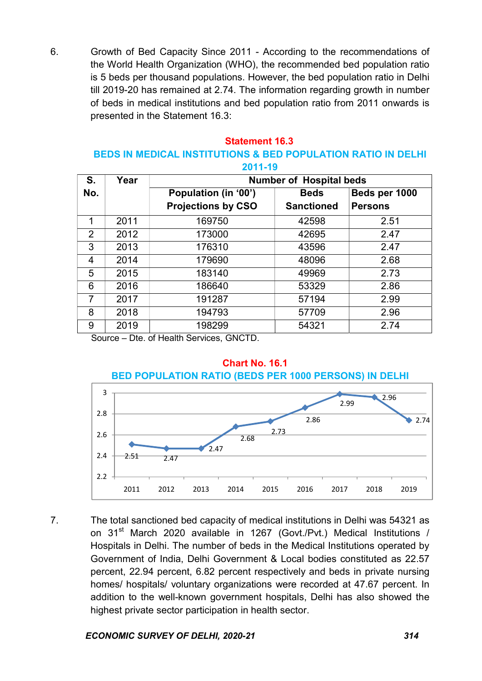6. Growth of Bed Capacity Since 2011 - According to the recommendations of the World Health Organization (WHO), the recommended bed population ratio is 5 beds per thousand populations. However, the bed population ratio in Delhi till 2019-20 has remained at 2.74. The information regarding growth in number of beds in medical institutions and bed population ratio from 2011 onwards is presented in the Statement 16.3:

### Statement 16.3

#### BEDS IN MEDICAL INSTITUTIONS & BED POPULATION RATIO IN DELHI 2011-19

|     | 60 I I J J |                                |                   |                |  |  |  |  |
|-----|------------|--------------------------------|-------------------|----------------|--|--|--|--|
| S.  | Year       | <b>Number of Hospital beds</b> |                   |                |  |  |  |  |
| No. |            | Population (in '00')           | <b>Beds</b>       | Beds per 1000  |  |  |  |  |
|     |            | <b>Projections by CSO</b>      | <b>Sanctioned</b> | <b>Persons</b> |  |  |  |  |
| 1   | 2011       | 169750                         | 42598             | 2.51           |  |  |  |  |
| 2   | 2012       | 173000                         | 42695             | 2.47           |  |  |  |  |
| 3   | 2013       | 176310                         | 43596             | 2.47           |  |  |  |  |
| 4   | 2014       | 179690                         | 48096             | 2.68           |  |  |  |  |
| 5   | 2015       | 183140                         | 49969             | 2.73           |  |  |  |  |
| 6   | 2016       | 186640                         | 53329             | 2.86           |  |  |  |  |
| 7   | 2017       | 191287                         | 57194             | 2.99           |  |  |  |  |
| 8   | 2018       | 194793                         | 57709             | 2.96           |  |  |  |  |
| 9   | 2019       | 198299                         | 54321             | 2.74           |  |  |  |  |

Source – Dte. of Health Services, GNCTD.



7. The total sanctioned bed capacity of medical institutions in Delhi was 54321 as on 31<sup>st</sup> March 2020 available in 1267 (Govt./Pvt.) Medical Institutions / Hospitals in Delhi. The number of beds in the Medical Institutions operated by Government of India, Delhi Government & Local bodies constituted as 22.57 percent, 22.94 percent, 6.82 percent respectively and beds in private nursing homes/ hospitals/ voluntary organizations were recorded at 47.67 percent. In addition to the well-known government hospitals, Delhi has also showed the highest private sector participation in health sector.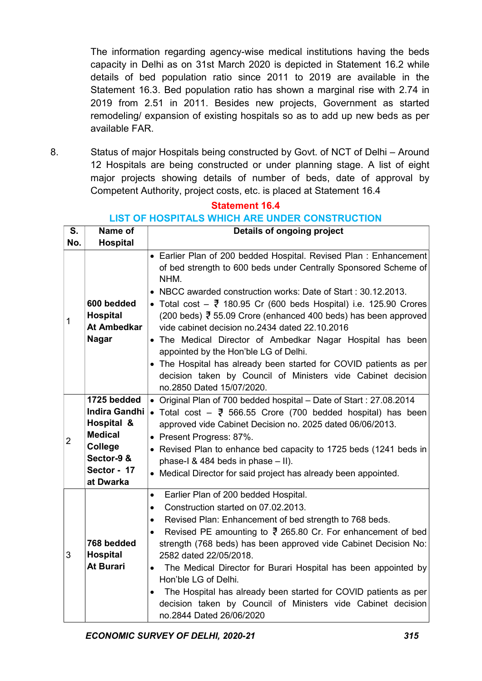The information regarding agency-wise medical institutions having the beds capacity in Delhi as on 31st March 2020 is depicted in Statement 16.2 while details of bed population ratio since 2011 to 2019 are available in the Statement 16.3. Bed population ratio has shown a marginal rise with 2.74 in 2019 from 2.51 in 2011. Besides new projects, Government as started remodeling/ expansion of existing hospitals so as to add up new beds as per available FAR.

8. Status of major Hospitals being constructed by Govt. of NCT of Delhi – Around 12 Hospitals are being constructed or under planning stage. A list of eight major projects showing details of number of beds, date of approval by Competent Authority, project costs, etc. is placed at Statement 16.4

| S.             | Name of                                                                                                                        | Details of ongoing project                                                                                                                                                                                                                                                                                                                                                                                                                                                                                                                                                                                                                                                                 |
|----------------|--------------------------------------------------------------------------------------------------------------------------------|--------------------------------------------------------------------------------------------------------------------------------------------------------------------------------------------------------------------------------------------------------------------------------------------------------------------------------------------------------------------------------------------------------------------------------------------------------------------------------------------------------------------------------------------------------------------------------------------------------------------------------------------------------------------------------------------|
| No.            | <b>Hospital</b>                                                                                                                |                                                                                                                                                                                                                                                                                                                                                                                                                                                                                                                                                                                                                                                                                            |
| 1              | 600 bedded<br><b>Hospital</b><br><b>At Ambedkar</b><br><b>Nagar</b>                                                            | • Earlier Plan of 200 bedded Hospital. Revised Plan: Enhancement<br>of bed strength to 600 beds under Centrally Sponsored Scheme of<br>NHM.<br>• NBCC awarded construction works: Date of Start: 30.12.2013.<br>• Total cost $ \overline{z}$ 180.95 Cr (600 beds Hospital) i.e. 125.90 Crores<br>(200 beds) ₹ 55.09 Crore (enhanced 400 beds) has been approved<br>vide cabinet decision no.2434 dated 22.10.2016<br>• The Medical Director of Ambedkar Nagar Hospital has been<br>appointed by the Hon'ble LG of Delhi.<br>• The Hospital has already been started for COVID patients as per<br>decision taken by Council of Ministers vide Cabinet decision<br>no.2850 Dated 15/07/2020. |
| $\overline{2}$ | 1725 bedded<br><b>Indira Gandhi</b><br>Hospital &<br><b>Medical</b><br><b>College</b><br>Sector-9&<br>Sector - 17<br>at Dwarka | • Original Plan of 700 bedded hospital - Date of Start: 27.08.2014<br>• Total cost $ \overline{z}$ 566.55 Crore (700 bedded hospital) has been<br>approved vide Cabinet Decision no. 2025 dated 06/06/2013.<br>• Present Progress: 87%.<br>• Revised Plan to enhance bed capacity to 1725 beds (1241 beds in<br>phase-I & 484 beds in phase $-$ II).<br>• Medical Director for said project has already been appointed.                                                                                                                                                                                                                                                                    |
| 3              | 768 bedded<br><b>Hospital</b><br><b>At Burari</b>                                                                              | Earlier Plan of 200 bedded Hospital.<br>$\bullet$<br>Construction started on 07.02.2013.<br>$\bullet$<br>Revised Plan: Enhancement of bed strength to 768 beds.<br>$\bullet$<br>Revised PE amounting to $\bar{z}$ 265.80 Cr. For enhancement of bed<br>strength (768 beds) has been approved vide Cabinet Decision No:<br>2582 dated 22/05/2018.<br>• The Medical Director for Burari Hospital has been appointed by<br>Hon'ble LG of Delhi.<br>The Hospital has already been started for COVID patients as per<br>decision taken by Council of Ministers vide Cabinet decision<br>no.2844 Dated 26/06/2020                                                                                |

# Statement 16.4

# LIST OF HOSPITALS WHICH ARE UNDER CONSTRUCTION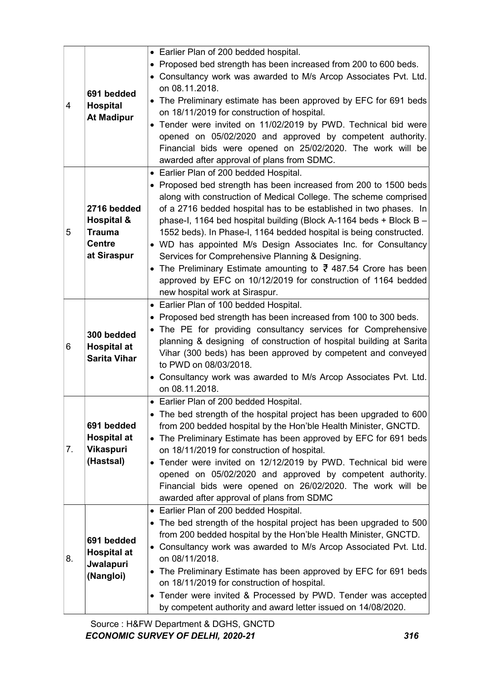|               |                                                                                             | • Earlier Plan of 200 bedded hospital.                                                                                                                                                                                                                                                                                                                                                                                                                                                                                                                                                                                                                                                                                                                                                                                                                                                                                                                                                                                                                                                                                                                                                    |
|---------------|---------------------------------------------------------------------------------------------|-------------------------------------------------------------------------------------------------------------------------------------------------------------------------------------------------------------------------------------------------------------------------------------------------------------------------------------------------------------------------------------------------------------------------------------------------------------------------------------------------------------------------------------------------------------------------------------------------------------------------------------------------------------------------------------------------------------------------------------------------------------------------------------------------------------------------------------------------------------------------------------------------------------------------------------------------------------------------------------------------------------------------------------------------------------------------------------------------------------------------------------------------------------------------------------------|
|               |                                                                                             | • Proposed bed strength has been increased from 200 to 600 beds.                                                                                                                                                                                                                                                                                                                                                                                                                                                                                                                                                                                                                                                                                                                                                                                                                                                                                                                                                                                                                                                                                                                          |
|               |                                                                                             | • Consultancy work was awarded to M/s Arcop Associates Pvt. Ltd.                                                                                                                                                                                                                                                                                                                                                                                                                                                                                                                                                                                                                                                                                                                                                                                                                                                                                                                                                                                                                                                                                                                          |
|               |                                                                                             | on 08.11.2018.                                                                                                                                                                                                                                                                                                                                                                                                                                                                                                                                                                                                                                                                                                                                                                                                                                                                                                                                                                                                                                                                                                                                                                            |
|               | 691 bedded                                                                                  | • The Preliminary estimate has been approved by EFC for 691 beds                                                                                                                                                                                                                                                                                                                                                                                                                                                                                                                                                                                                                                                                                                                                                                                                                                                                                                                                                                                                                                                                                                                          |
| 4             | <b>Hospital</b>                                                                             | on 18/11/2019 for construction of hospital.                                                                                                                                                                                                                                                                                                                                                                                                                                                                                                                                                                                                                                                                                                                                                                                                                                                                                                                                                                                                                                                                                                                                               |
|               | <b>At Madipur</b>                                                                           | • Tender were invited on 11/02/2019 by PWD. Technical bid were                                                                                                                                                                                                                                                                                                                                                                                                                                                                                                                                                                                                                                                                                                                                                                                                                                                                                                                                                                                                                                                                                                                            |
|               |                                                                                             | opened on 05/02/2020 and approved by competent authority.                                                                                                                                                                                                                                                                                                                                                                                                                                                                                                                                                                                                                                                                                                                                                                                                                                                                                                                                                                                                                                                                                                                                 |
|               |                                                                                             | Financial bids were opened on 25/02/2020. The work will be                                                                                                                                                                                                                                                                                                                                                                                                                                                                                                                                                                                                                                                                                                                                                                                                                                                                                                                                                                                                                                                                                                                                |
|               |                                                                                             | awarded after approval of plans from SDMC.                                                                                                                                                                                                                                                                                                                                                                                                                                                                                                                                                                                                                                                                                                                                                                                                                                                                                                                                                                                                                                                                                                                                                |
|               |                                                                                             | • Earlier Plan of 200 bedded Hospital.                                                                                                                                                                                                                                                                                                                                                                                                                                                                                                                                                                                                                                                                                                                                                                                                                                                                                                                                                                                                                                                                                                                                                    |
|               |                                                                                             | • Proposed bed strength has been increased from 200 to 1500 beds                                                                                                                                                                                                                                                                                                                                                                                                                                                                                                                                                                                                                                                                                                                                                                                                                                                                                                                                                                                                                                                                                                                          |
|               |                                                                                             | along with construction of Medical College. The scheme comprised                                                                                                                                                                                                                                                                                                                                                                                                                                                                                                                                                                                                                                                                                                                                                                                                                                                                                                                                                                                                                                                                                                                          |
|               | 2716 bedded                                                                                 | of a 2716 bedded hospital has to be established in two phases. In                                                                                                                                                                                                                                                                                                                                                                                                                                                                                                                                                                                                                                                                                                                                                                                                                                                                                                                                                                                                                                                                                                                         |
|               | <b>Hospital &amp;</b>                                                                       | phase-I, 1164 bed hospital building (Block A-1164 beds + Block B -                                                                                                                                                                                                                                                                                                                                                                                                                                                                                                                                                                                                                                                                                                                                                                                                                                                                                                                                                                                                                                                                                                                        |
| 5             | <b>Trauma</b>                                                                               | 1552 beds). In Phase-I, 1164 bedded hospital is being constructed.                                                                                                                                                                                                                                                                                                                                                                                                                                                                                                                                                                                                                                                                                                                                                                                                                                                                                                                                                                                                                                                                                                                        |
|               | <b>Centre</b>                                                                               | • WD has appointed M/s Design Associates Inc. for Consultancy                                                                                                                                                                                                                                                                                                                                                                                                                                                                                                                                                                                                                                                                                                                                                                                                                                                                                                                                                                                                                                                                                                                             |
|               | at Siraspur                                                                                 | Services for Comprehensive Planning & Designing.                                                                                                                                                                                                                                                                                                                                                                                                                                                                                                                                                                                                                                                                                                                                                                                                                                                                                                                                                                                                                                                                                                                                          |
|               |                                                                                             | • The Preliminary Estimate amounting to $\overline{3}$ 487.54 Crore has been                                                                                                                                                                                                                                                                                                                                                                                                                                                                                                                                                                                                                                                                                                                                                                                                                                                                                                                                                                                                                                                                                                              |
|               |                                                                                             | approved by EFC on 10/12/2019 for construction of 1164 bedded                                                                                                                                                                                                                                                                                                                                                                                                                                                                                                                                                                                                                                                                                                                                                                                                                                                                                                                                                                                                                                                                                                                             |
|               |                                                                                             | new hospital work at Siraspur.                                                                                                                                                                                                                                                                                                                                                                                                                                                                                                                                                                                                                                                                                                                                                                                                                                                                                                                                                                                                                                                                                                                                                            |
|               |                                                                                             | • Earlier Plan of 100 bedded Hospital.                                                                                                                                                                                                                                                                                                                                                                                                                                                                                                                                                                                                                                                                                                                                                                                                                                                                                                                                                                                                                                                                                                                                                    |
|               |                                                                                             | • Proposed bed strength has been increased from 100 to 300 beds.                                                                                                                                                                                                                                                                                                                                                                                                                                                                                                                                                                                                                                                                                                                                                                                                                                                                                                                                                                                                                                                                                                                          |
|               | 300 bedded<br><b>Hospital at</b><br><b>Sarita Vihar</b>                                     | • The PE for providing consultancy services for Comprehensive                                                                                                                                                                                                                                                                                                                                                                                                                                                                                                                                                                                                                                                                                                                                                                                                                                                                                                                                                                                                                                                                                                                             |
|               |                                                                                             | planning & designing of construction of hospital building at Sarita                                                                                                                                                                                                                                                                                                                                                                                                                                                                                                                                                                                                                                                                                                                                                                                                                                                                                                                                                                                                                                                                                                                       |
|               |                                                                                             | Vihar (300 beds) has been approved by competent and conveyed                                                                                                                                                                                                                                                                                                                                                                                                                                                                                                                                                                                                                                                                                                                                                                                                                                                                                                                                                                                                                                                                                                                              |
|               |                                                                                             |                                                                                                                                                                                                                                                                                                                                                                                                                                                                                                                                                                                                                                                                                                                                                                                                                                                                                                                                                                                                                                                                                                                                                                                           |
|               |                                                                                             |                                                                                                                                                                                                                                                                                                                                                                                                                                                                                                                                                                                                                                                                                                                                                                                                                                                                                                                                                                                                                                                                                                                                                                                           |
|               |                                                                                             |                                                                                                                                                                                                                                                                                                                                                                                                                                                                                                                                                                                                                                                                                                                                                                                                                                                                                                                                                                                                                                                                                                                                                                                           |
|               |                                                                                             |                                                                                                                                                                                                                                                                                                                                                                                                                                                                                                                                                                                                                                                                                                                                                                                                                                                                                                                                                                                                                                                                                                                                                                                           |
|               |                                                                                             |                                                                                                                                                                                                                                                                                                                                                                                                                                                                                                                                                                                                                                                                                                                                                                                                                                                                                                                                                                                                                                                                                                                                                                                           |
|               |                                                                                             |                                                                                                                                                                                                                                                                                                                                                                                                                                                                                                                                                                                                                                                                                                                                                                                                                                                                                                                                                                                                                                                                                                                                                                                           |
|               |                                                                                             |                                                                                                                                                                                                                                                                                                                                                                                                                                                                                                                                                                                                                                                                                                                                                                                                                                                                                                                                                                                                                                                                                                                                                                                           |
|               |                                                                                             |                                                                                                                                                                                                                                                                                                                                                                                                                                                                                                                                                                                                                                                                                                                                                                                                                                                                                                                                                                                                                                                                                                                                                                                           |
|               |                                                                                             |                                                                                                                                                                                                                                                                                                                                                                                                                                                                                                                                                                                                                                                                                                                                                                                                                                                                                                                                                                                                                                                                                                                                                                                           |
|               |                                                                                             |                                                                                                                                                                                                                                                                                                                                                                                                                                                                                                                                                                                                                                                                                                                                                                                                                                                                                                                                                                                                                                                                                                                                                                                           |
|               |                                                                                             |                                                                                                                                                                                                                                                                                                                                                                                                                                                                                                                                                                                                                                                                                                                                                                                                                                                                                                                                                                                                                                                                                                                                                                                           |
|               |                                                                                             |                                                                                                                                                                                                                                                                                                                                                                                                                                                                                                                                                                                                                                                                                                                                                                                                                                                                                                                                                                                                                                                                                                                                                                                           |
|               |                                                                                             |                                                                                                                                                                                                                                                                                                                                                                                                                                                                                                                                                                                                                                                                                                                                                                                                                                                                                                                                                                                                                                                                                                                                                                                           |
|               |                                                                                             |                                                                                                                                                                                                                                                                                                                                                                                                                                                                                                                                                                                                                                                                                                                                                                                                                                                                                                                                                                                                                                                                                                                                                                                           |
|               | 691 bedded                                                                                  |                                                                                                                                                                                                                                                                                                                                                                                                                                                                                                                                                                                                                                                                                                                                                                                                                                                                                                                                                                                                                                                                                                                                                                                           |
|               | <b>Hospital at</b>                                                                          |                                                                                                                                                                                                                                                                                                                                                                                                                                                                                                                                                                                                                                                                                                                                                                                                                                                                                                                                                                                                                                                                                                                                                                                           |
|               |                                                                                             |                                                                                                                                                                                                                                                                                                                                                                                                                                                                                                                                                                                                                                                                                                                                                                                                                                                                                                                                                                                                                                                                                                                                                                                           |
|               |                                                                                             |                                                                                                                                                                                                                                                                                                                                                                                                                                                                                                                                                                                                                                                                                                                                                                                                                                                                                                                                                                                                                                                                                                                                                                                           |
|               |                                                                                             |                                                                                                                                                                                                                                                                                                                                                                                                                                                                                                                                                                                                                                                                                                                                                                                                                                                                                                                                                                                                                                                                                                                                                                                           |
|               |                                                                                             |                                                                                                                                                                                                                                                                                                                                                                                                                                                                                                                                                                                                                                                                                                                                                                                                                                                                                                                                                                                                                                                                                                                                                                                           |
| 6<br>7.<br>8. | 691 bedded<br><b>Hospital at</b><br><b>Vikaspuri</b><br>(Hastsal)<br>Jwalapuri<br>(Nangloi) | to PWD on 08/03/2018.<br>• Consultancy work was awarded to M/s Arcop Associates Pvt. Ltd.<br>on 08.11.2018.<br>• Earlier Plan of 200 bedded Hospital.<br>• The bed strength of the hospital project has been upgraded to 600<br>from 200 bedded hospital by the Hon'ble Health Minister, GNCTD.<br>• The Preliminary Estimate has been approved by EFC for 691 beds<br>on 18/11/2019 for construction of hospital.<br>• Tender were invited on 12/12/2019 by PWD. Technical bid were<br>opened on 05/02/2020 and approved by competent authority.<br>Financial bids were opened on 26/02/2020. The work will be<br>awarded after approval of plans from SDMC<br>• Earlier Plan of 200 bedded Hospital.<br>• The bed strength of the hospital project has been upgraded to 500<br>from 200 bedded hospital by the Hon'ble Health Minister, GNCTD.<br>• Consultancy work was awarded to M/s Arcop Associated Pvt. Ltd.<br>on 08/11/2018.<br>The Preliminary Estimate has been approved by EFC for 691 beds<br>on 18/11/2019 for construction of hospital.<br>• Tender were invited & Processed by PWD. Tender was accepted<br>by competent authority and award letter issued on 14/08/2020. |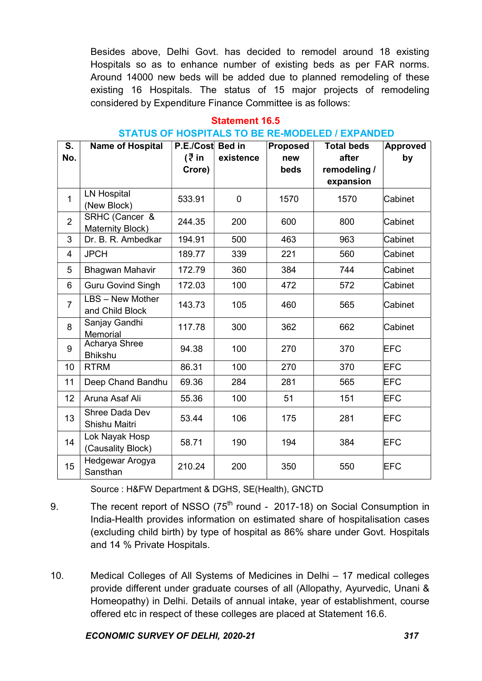Besides above, Delhi Govt. has decided to remodel around 18 existing Hospitals so as to enhance number of existing beds as per FAR norms. Around 14000 new beds will be added due to planned remodeling of these existing 16 Hospitals. The status of 15 major projects of remodeling considered by Expenditure Finance Committee is as follows:

#### Statement 16.5

#### STATUS OF HOSPITALS TO BE RE-MODELED / EXPANDED

| S.             | <b>Name of Hospital</b>             | P.E./Cost Bed in |             | <b>Proposed</b> | <b>Total beds</b>     | Approved   |
|----------------|-------------------------------------|------------------|-------------|-----------------|-----------------------|------------|
| No.            |                                     | (₹ in<br>Crore)  | existence   | new<br>beds     | after<br>remodeling / | by         |
|                |                                     |                  |             |                 | expansion             |            |
| 1              | <b>LN Hospital</b><br>(New Block)   | 533.91           | $\mathbf 0$ | 1570            | 1570                  | Cabinet    |
| $\overline{2}$ | SRHC (Cancer &<br>Maternity Block)  | 244.35           | 200         | 600             | 800                   | Cabinet    |
| 3              | Dr. B. R. Ambedkar                  | 194.91           | 500         | 463             | 963                   | Cabinet    |
| 4              | <b>JPCH</b>                         | 189.77           | 339         | 221             | 560                   | Cabinet    |
| 5              | Bhagwan Mahavir                     | 172.79           | 360         | 384             | 744                   | Cabinet    |
| 6              | <b>Guru Govind Singh</b>            | 172.03           | 100         | 472             | 572                   | Cabinet    |
| $\overline{7}$ | LBS - New Mother<br>and Child Block | 143.73           | 105         | 460             | 565                   | Cabinet    |
| 8              | Sanjay Gandhi<br>Memorial           | 117.78           | 300         | 362             | 662                   | Cabinet    |
| 9              | Acharya Shree<br><b>Bhikshu</b>     | 94.38            | 100         | 270             | 370                   | <b>EFC</b> |
| 10             | <b>RTRM</b>                         | 86.31            | 100         | 270             | 370                   | <b>EFC</b> |
| 11             | Deep Chand Bandhu                   | 69.36            | 284         | 281             | 565                   | <b>EFC</b> |
| 12             | Aruna Asaf Ali                      | 55.36            | 100         | 51              | 151                   | <b>EFC</b> |
| 13             | Shree Dada Dev<br>Shishu Maitri     | 53.44            | 106         | 175             | 281                   | <b>EFC</b> |
| 14             | Lok Nayak Hosp<br>(Causality Block) | 58.71            | 190         | 194             | 384                   | <b>EFC</b> |
| 15             | Hedgewar Arogya<br>Sansthan         | 210.24           | 200         | 350             | 550                   | <b>EFC</b> |

Source : H&FW Department & DGHS, SE(Health), GNCTD

- 9. The recent report of NSSO  $(75<sup>th</sup>$  round 2017-18) on Social Consumption in India-Health provides information on estimated share of hospitalisation cases (excluding child birth) by type of hospital as 86% share under Govt. Hospitals and 14 % Private Hospitals.
- 10. Medical Colleges of All Systems of Medicines in Delhi 17 medical colleges provide different under graduate courses of all (Allopathy, Ayurvedic, Unani & Homeopathy) in Delhi. Details of annual intake, year of establishment, course offered etc in respect of these colleges are placed at Statement 16.6.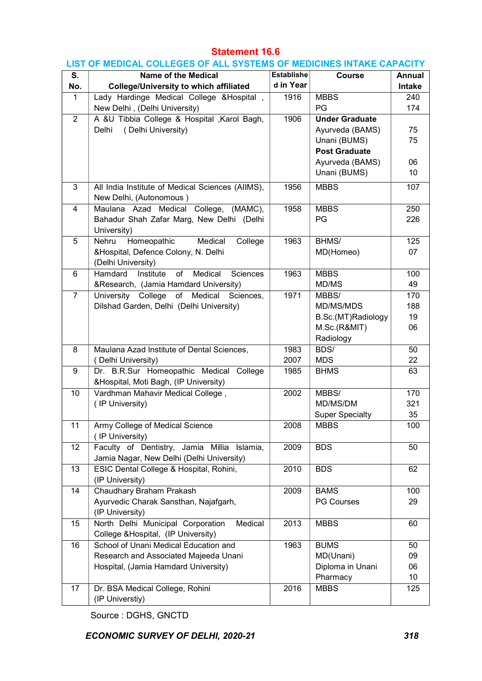#### Statement 16.6

#### LIST OF MEDICAL COLLEGES OF ALL SYSTEMS OF MEDICINES INTAKE CAPACITY

| S.             | <b>Name of the Medical</b>                        | <b>Establishe</b> | Course                 | Annual        |
|----------------|---------------------------------------------------|-------------------|------------------------|---------------|
| No.            | <b>College/University to which affiliated</b>     | d in Year         |                        | <b>Intake</b> |
| $\mathbf{1}$   | Lady Hardinge Medical College & Hospital,         | 1916              | <b>MBBS</b>            | 240           |
|                | New Delhi, (Delhi University)                     |                   | PG                     | 174           |
| $\overline{2}$ | A &U Tibbia College & Hospital , Karol Bagh,      | 1906              | <b>Under Graduate</b>  |               |
|                | (Delhi University)<br>Delhi                       |                   | Ayurveda (BAMS)        | 75            |
|                |                                                   |                   | Unani (BUMS)           | 75            |
|                |                                                   |                   | <b>Post Graduate</b>   |               |
|                |                                                   |                   | Ayurveda (BAMS)        | 06            |
|                |                                                   |                   | Unani (BUMS)           | 10            |
|                |                                                   |                   |                        |               |
| 3              | All India Institute of Medical Sciences (AIIMS),  | 1956              | <b>MBBS</b>            | 107           |
|                | New Delhi, (Autonomous)                           |                   |                        |               |
| $\overline{4}$ | Maulana Azad Medical College, (MAMC),             | 1958              | <b>MBBS</b>            | 250           |
|                | Bahadur Shah Zafar Marg, New Delhi (Delhi         |                   | PG                     | 226           |
|                | University)                                       |                   |                        |               |
| 5              | Medical<br>Nehru Homeopathic<br>College           | 1963              | BHMS/                  | 125           |
|                | &Hospital, Defence Colony, N. Delhi               |                   | MD(Homeo)              | 07            |
|                | (Delhi University)                                |                   |                        |               |
| 6              | Hamdard<br>Institute<br>of<br>Medical<br>Sciences | 1963              | <b>MBBS</b>            | 100           |
|                | &Research, (Jamia Hamdard University)             |                   | MD/MS                  | 49            |
| $\overline{7}$ | University College of Medical<br>Sciences,        | 1971              | MBBS/                  | 170           |
|                | Dilshad Garden, Delhi (Delhi University)          |                   | MD/MS/MDS              | 188           |
|                |                                                   |                   | B.Sc.(MT)Radiology     | 19            |
|                |                                                   |                   | M.Sc.(R&MIT)           | 06            |
|                |                                                   |                   | Radiology              |               |
| 8              | Maulana Azad Institute of Dental Sciences,        | 1983              | BDS/                   | 50            |
|                | (Delhi University)                                | 2007              | <b>MDS</b>             | 22            |
| 9              | Dr. B.R.Sur Homeopathic Medical College           | 1985              | <b>BHMS</b>            | 63            |
|                | &Hospital, Moti Bagh, (IP University)             |                   |                        |               |
| 10             | Vardhman Mahavir Medical College,                 | 2002              | MBBS/                  | 170           |
|                | (IP University)                                   |                   | MD/MS/DM               | 321           |
|                |                                                   |                   | <b>Super Specialty</b> | 35            |
| 11             | Army College of Medical Science                   | 2008              | <b>MBBS</b>            | 100           |
|                | (IP University)                                   |                   |                        |               |
| 12             | Faculty of Dentistry, Jamia Millia Islamia,       | 2009              | <b>BDS</b>             | 50            |
|                | Jamia Nagar, New Delhi (Delhi University)         |                   |                        |               |
| 13             | ESIC Dental College & Hospital, Rohini,           | 2010              | <b>BDS</b>             | 62            |
|                | (IP University)                                   |                   |                        |               |
| 14             | Chaudhary Braham Prakash                          | 2009              | <b>BAMS</b>            | 100           |
|                | Ayurvedic Charak Sansthan, Najafgarh,             |                   | <b>PG Courses</b>      | 29            |
|                | (IP University)                                   |                   |                        |               |
| 15             | North Delhi Municipal Corporation<br>Medical      | 2013              | <b>MBBS</b>            | 60            |
|                | College & Hospital, (IP University)               |                   |                        |               |
| 16             | School of Unani Medical Education and             | 1963              | <b>BUMS</b>            | 50            |
|                | Research and Associated Majeeda Unani             |                   | MD(Unani)              | 09            |
|                | Hospital, (Jamia Hamdard University)              |                   | Diploma in Unani       | 06            |
|                |                                                   |                   | Pharmacy               | 10            |
| 17             | Dr. BSA Medical College, Rohini                   | 2016              | <b>MBBS</b>            | 125           |
|                | (IP Universtiy)                                   |                   |                        |               |

Source : DGHS, GNCTD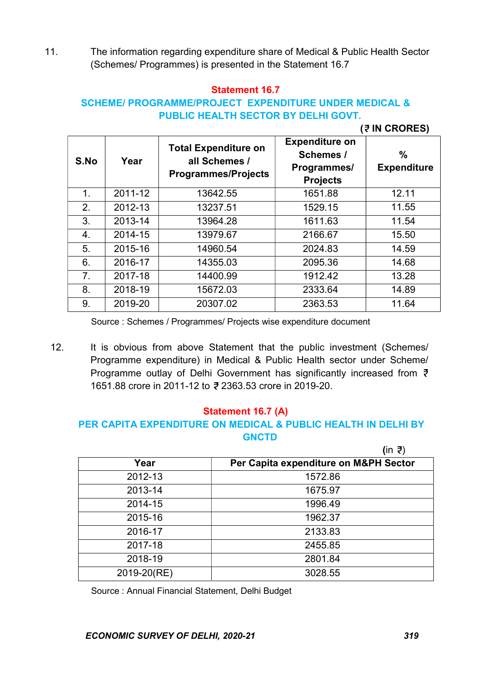11. The information regarding expenditure share of Medical & Public Health Sector (Schemes/ Programmes) is presented in the Statement 16.7

#### Statement 16.7

### SCHEME/ PROGRAMME/PROJECT EXPENDITURE UNDER MEDICAL & PUBLIC HEALTH SECTOR BY DELHI GOVT.

#### (? IN CRORES)

| S.No           | Year    | <b>Total Expenditure on</b><br>all Schemes /<br><b>Programmes/Projects</b> | <b>Expenditure on</b><br>Schemes /<br>Programmes/<br><b>Projects</b> | $\%$<br><b>Expenditure</b> |
|----------------|---------|----------------------------------------------------------------------------|----------------------------------------------------------------------|----------------------------|
| 1.             | 2011-12 | 13642.55                                                                   | 1651.88                                                              | 12.11                      |
| 2.             | 2012-13 | 13237.51                                                                   | 1529.15                                                              | 11.55                      |
| 3.             | 2013-14 | 13964.28                                                                   | 1611.63                                                              | 11.54                      |
| 4.             | 2014-15 | 13979.67                                                                   | 2166.67                                                              | 15.50                      |
| 5.             | 2015-16 | 14960.54                                                                   | 2024.83                                                              | 14.59                      |
| 6.             | 2016-17 | 14355.03                                                                   | 2095.36                                                              | 14.68                      |
| 7 <sub>1</sub> | 2017-18 | 14400.99                                                                   | 1912.42                                                              | 13.28                      |
| 8.             | 2018-19 | 15672.03                                                                   | 2333.64                                                              | 14.89                      |
| 9.             | 2019-20 | 20307.02                                                                   | 2363.53                                                              | 11.64                      |

Source : Schemes / Programmes/ Projects wise expenditure document

12. It is obvious from above Statement that the public investment (Schemes/ Programme expenditure) in Medical & Public Health sector under Scheme/ Programme outlay of Delhi Government has significantly increased from ₹ 1651.88 crore in 2011-12 to ₹ 2363.53 crore in 2019-20.

#### Statement 16.7 (A)

# PER CAPITA EXPENDITURE ON MEDICAL & PUBLIC HEALTH IN DELHI BY **GNCTD**

|             | (in ₹)                                |
|-------------|---------------------------------------|
| Year        | Per Capita expenditure on M&PH Sector |
| 2012-13     | 1572.86                               |
| 2013-14     | 1675.97                               |
| 2014-15     | 1996.49                               |
| 2015-16     | 1962.37                               |
| 2016-17     | 2133.83                               |
| 2017-18     | 2455.85                               |
| 2018-19     | 2801.84                               |
| 2019-20(RE) | 3028.55                               |

Source : Annual Financial Statement, Delhi Budget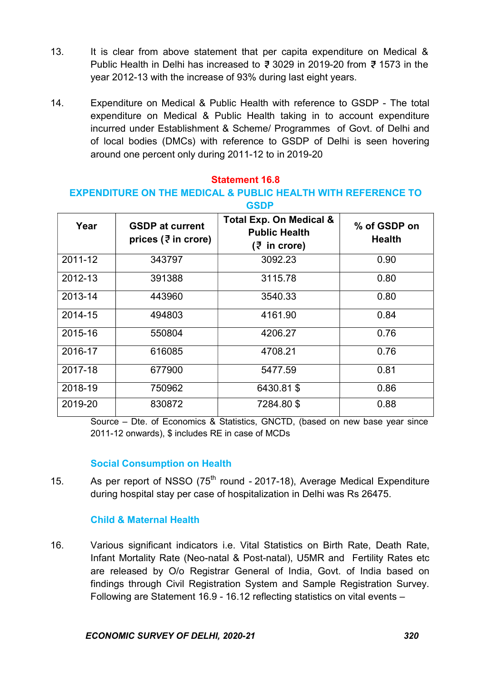- 13. It is clear from above statement that per capita expenditure on Medical & Public Health in Delhi has increased to  $\bar{\mathfrak{z}}$  3029 in 2019-20 from  $\bar{\mathfrak{z}}$  1573 in the year 2012-13 with the increase of 93% during last eight years.
- 14. Expenditure on Medical & Public Health with reference to GSDP The total expenditure on Medical & Public Health taking in to account expenditure incurred under Establishment & Scheme/ Programmes of Govt. of Delhi and of local bodies (DMCs) with reference to GSDP of Delhi is seen hovering around one percent only during 2011-12 to in 2019-20

#### Statement 16.8

#### EXPENDITURE ON THE MEDICAL & PUBLIC HEALTH WITH REFERENCE TO GSDP

| Year    | <b>GSDP at current</b><br>prices ( $\overline{z}$ in crore) | <b>Total Exp. On Medical &amp;</b><br><b>Public Health</b><br>(₹ in crore) | % of GSDP on<br><b>Health</b> |
|---------|-------------------------------------------------------------|----------------------------------------------------------------------------|-------------------------------|
| 2011-12 | 343797                                                      | 3092.23                                                                    | 0.90                          |
| 2012-13 | 391388                                                      | 3115.78                                                                    | 0.80                          |
| 2013-14 | 443960                                                      | 3540.33                                                                    | 0.80                          |
| 2014-15 | 494803                                                      | 4161.90                                                                    | 0.84                          |
| 2015-16 | 550804                                                      | 4206.27                                                                    | 0.76                          |
| 2016-17 | 616085                                                      | 4708.21                                                                    | 0.76                          |
| 2017-18 | 677900                                                      | 5477.59                                                                    | 0.81                          |
| 2018-19 | 750962                                                      | 6430.81 \$                                                                 | 0.86                          |
| 2019-20 | 830872                                                      | 7284.80\$                                                                  | 0.88                          |

Source – Dte. of Economics & Statistics, GNCTD, (based on new base year since 2011-12 onwards), \$ includes RE in case of MCDs

#### Social Consumption on Health

15. As per report of NSSO (75<sup>th</sup> round - 2017-18), Average Medical Expenditure during hospital stay per case of hospitalization in Delhi was Rs 26475.

#### Child & Maternal Health

16. Various significant indicators i.e. Vital Statistics on Birth Rate, Death Rate, Infant Mortality Rate (Neo-natal & Post-natal), U5MR and Fertility Rates etc are released by O/o Registrar General of India, Govt. of India based on findings through Civil Registration System and Sample Registration Survey. Following are Statement 16.9 - 16.12 reflecting statistics on vital events –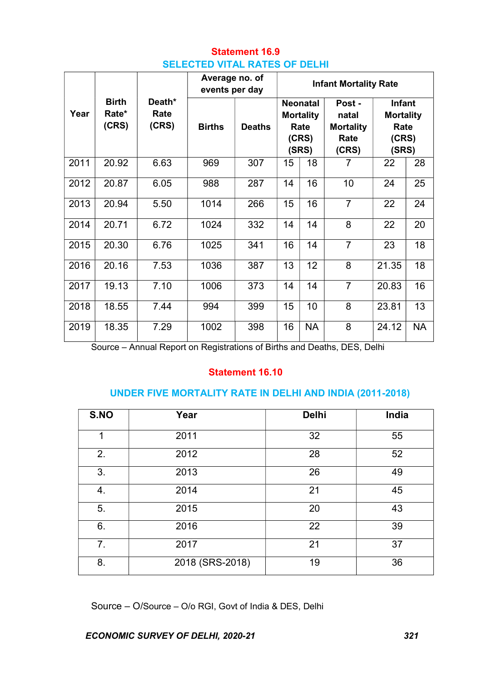# Statement 16.9 SELECTED VITAL RATES OF DELHI

|      |                                |                         | Average no. of<br>events per day |               | <b>Infant Mortality Rate</b>                                  |           |                |       |                                                      |                                                             |  |
|------|--------------------------------|-------------------------|----------------------------------|---------------|---------------------------------------------------------------|-----------|----------------|-------|------------------------------------------------------|-------------------------------------------------------------|--|
| Year | <b>Birth</b><br>Rate*<br>(CRS) | Death*<br>Rate<br>(CRS) | <b>Births</b>                    | <b>Deaths</b> | <b>Neonatal</b><br><b>Mortality</b><br>Rate<br>(CRS)<br>(SRS) |           |                |       | Post -<br>natal<br><b>Mortality</b><br>Rate<br>(CRS) | <b>Infant</b><br><b>Mortality</b><br>Rate<br>(CRS)<br>(SRS) |  |
| 2011 | 20.92                          | 6.63                    | 969                              | 307           | 15                                                            | 18        | 7              | 22    | 28                                                   |                                                             |  |
| 2012 | 20.87                          | 6.05                    | 988                              | 287           | 14                                                            | 16        | 10             | 24    | 25                                                   |                                                             |  |
| 2013 | 20.94                          | 5.50                    | 1014                             | 266           | 15                                                            | 16        | $\overline{7}$ | 22    | 24                                                   |                                                             |  |
| 2014 | 20.71                          | 6.72                    | 1024                             | 332           | 14                                                            | 14        | 8              | 22    | 20                                                   |                                                             |  |
| 2015 | 20.30                          | 6.76                    | 1025                             | 341           | 16                                                            | 14        | $\overline{7}$ | 23    | 18                                                   |                                                             |  |
| 2016 | 20.16                          | 7.53                    | 1036                             | 387           | 13                                                            | 12        | 8              | 21.35 | 18                                                   |                                                             |  |
| 2017 | 19.13                          | 7.10                    | 1006                             | 373           | 14                                                            | 14        | $\overline{7}$ | 20.83 | 16                                                   |                                                             |  |
| 2018 | 18.55                          | 7.44                    | 994                              | 399           | 15                                                            | 10        | 8              | 23.81 | 13                                                   |                                                             |  |
| 2019 | 18.35                          | 7.29                    | 1002                             | 398           | 16                                                            | <b>NA</b> | 8              | 24.12 | <b>NA</b>                                            |                                                             |  |

Source – Annual Report on Registrations of Births and Deaths, DES, Delhi

### Statement 16.10

#### UNDER FIVE MORTALITY RATE IN DELHI AND INDIA (2011-2018)

| S.NO | Year            | <b>Delhi</b> | India |
|------|-----------------|--------------|-------|
| 1    | 2011            | 32           | 55    |
| 2.   | 2012            | 28           | 52    |
| 3.   | 2013            | 26           | 49    |
| 4.   | 2014            | 21           | 45    |
| 5.   | 2015            | 20           | 43    |
| 6.   | 2016            | 22           | 39    |
| 7.   | 2017            | 21           | 37    |
| 8.   | 2018 (SRS-2018) | 19           | 36    |

Source – O/Source – O/o RGI, Govt of India & DES, Delhi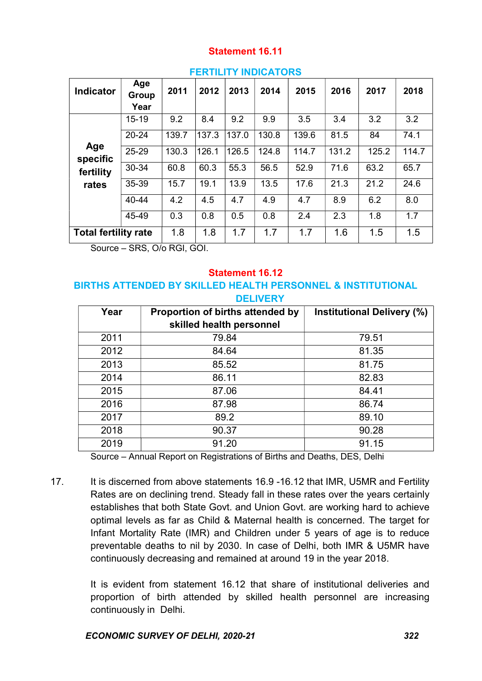### Statement 16.11

| . EN BELL RIVERAIVIV        |                      |       |       |       |       |       |       |       |       |
|-----------------------------|----------------------|-------|-------|-------|-------|-------|-------|-------|-------|
| <b>Indicator</b>            | Age<br>Group<br>Year | 2011  | 2012  | 2013  | 2014  | 2015  | 2016  | 2017  | 2018  |
|                             | $15 - 19$            | 9.2   | 8.4   | 9.2   | 9.9   | 3.5   | 3.4   | 3.2   | 3.2   |
|                             | $20 - 24$            | 139.7 | 137.3 | 137.0 | 130.8 | 139.6 | 81.5  | 84    | 74.1  |
| Age<br>specific             | 25-29                | 130.3 | 126.1 | 126.5 | 124.8 | 114.7 | 131.2 | 125.2 | 114.7 |
| fertility                   | 30-34                | 60.8  | 60.3  | 55.3  | 56.5  | 52.9  | 71.6  | 63.2  | 65.7  |
| rates                       | 35-39                | 15.7  | 19.1  | 13.9  | 13.5  | 17.6  | 21.3  | 21.2  | 24.6  |
|                             | 40-44                | 4.2   | 4.5   | 4.7   | 4.9   | 4.7   | 8.9   | 6.2   | 8.0   |
|                             | 45-49                | 0.3   | 0.8   | 0.5   | 0.8   | 2.4   | 2.3   | 1.8   | 1.7   |
| <b>Total fertility rate</b> |                      | 1.8   | 1.8   | 1.7   | 1.7   | 1.7   | 1.6   | 1.5   | 1.5   |

#### **FERTILITY INDICATORS**

Source – SRS, O/o RGI, GOI.

#### Statement 16.12

#### BIRTHS ATTENDED BY SKILLED HEALTH PERSONNEL & INSTITUTIONAL DELIVERY

| Year | Proportion of births attended by<br>skilled health personnel | <b>Institutional Delivery (%)</b> |
|------|--------------------------------------------------------------|-----------------------------------|
| 2011 | 79.84                                                        | 79.51                             |
| 2012 | 84.64                                                        | 81.35                             |
| 2013 | 85.52                                                        | 81.75                             |
| 2014 | 86.11                                                        | 82.83                             |
| 2015 | 87.06                                                        | 84.41                             |
| 2016 | 87.98                                                        | 86.74                             |
| 2017 | 89.2                                                         | 89.10                             |
| 2018 | 90.37                                                        | 90.28                             |
| 2019 | 91.20                                                        | 91.15                             |

Source – Annual Report on Registrations of Births and Deaths, DES, Delhi

17. It is discerned from above statements 16.9 -16.12 that IMR, U5MR and Fertility Rates are on declining trend. Steady fall in these rates over the years certainly establishes that both State Govt. and Union Govt. are working hard to achieve optimal levels as far as Child & Maternal health is concerned. The target for Infant Mortality Rate (IMR) and Children under 5 years of age is to reduce preventable deaths to nil by 2030. In case of Delhi, both IMR & U5MR have continuously decreasing and remained at around 19 in the year 2018.

> It is evident from statement 16.12 that share of institutional deliveries and proportion of birth attended by skilled health personnel are increasing continuously in Delhi.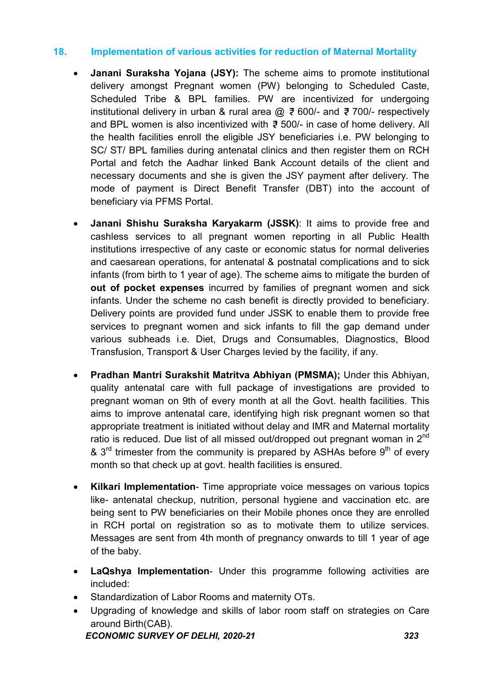### 18. Implementation of various activities for reduction of Maternal Mortality

- Janani Suraksha Yojana (JSY): The scheme aims to promote institutional delivery amongst Pregnant women (PW) belonging to Scheduled Caste, Scheduled Tribe & BPL families. PW are incentivized for undergoing institutional delivery in urban & rural area  $\omega \neq 600/4$  and  $\overline{z}$  700/- respectively and BPL women is also incentivized with  $\bar{\xi}$  500/- in case of home delivery. All the health facilities enroll the eligible JSY beneficiaries i.e. PW belonging to SC/ ST/ BPL families during antenatal clinics and then register them on RCH Portal and fetch the Aadhar linked Bank Account details of the client and necessary documents and she is given the JSY payment after delivery. The mode of payment is Direct Benefit Transfer (DBT) into the account of beneficiary via PFMS Portal.
- Janani Shishu Suraksha Karyakarm (JSSK): It aims to provide free and cashless services to all pregnant women reporting in all Public Health institutions irrespective of any caste or economic status for normal deliveries and caesarean operations, for antenatal & postnatal complications and to sick infants (from birth to 1 year of age). The scheme aims to mitigate the burden of out of pocket expenses incurred by families of pregnant women and sick infants. Under the scheme no cash benefit is directly provided to beneficiary. Delivery points are provided fund under JSSK to enable them to provide free services to pregnant women and sick infants to fill the gap demand under various subheads i.e. Diet, Drugs and Consumables, Diagnostics, Blood Transfusion, Transport & User Charges levied by the facility, if any.
- Pradhan Mantri Surakshit Matritva Abhiyan (PMSMA); Under this Abhiyan, quality antenatal care with full package of investigations are provided to pregnant woman on 9th of every month at all the Govt. health facilities. This aims to improve antenatal care, identifying high risk pregnant women so that appropriate treatment is initiated without delay and IMR and Maternal mortality ratio is reduced. Due list of all missed out/dropped out pregnant woman in 2<sup>nd</sup> &  $3<sup>rd</sup>$  trimester from the community is prepared by ASHAs before  $9<sup>th</sup>$  of every month so that check up at govt. health facilities is ensured.
- Kilkari Implementation- Time appropriate voice messages on various topics like- antenatal checkup, nutrition, personal hygiene and vaccination etc. are being sent to PW beneficiaries on their Mobile phones once they are enrolled in RCH portal on registration so as to motivate them to utilize services. Messages are sent from 4th month of pregnancy onwards to till 1 year of age of the baby.
- LaQshya Implementation- Under this programme following activities are included:
- Standardization of Labor Rooms and maternity OTs.
- Upgrading of knowledge and skills of labor room staff on strategies on Care around Birth(CAB).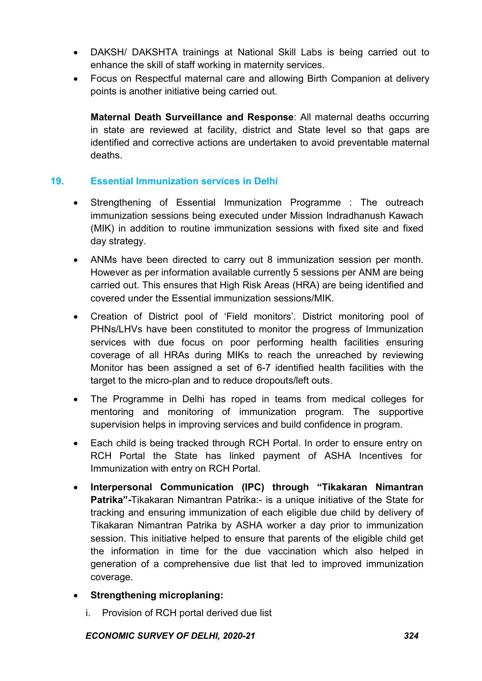- DAKSH/ DAKSHTA trainings at National Skill Labs is being carried out to enhance the skill of staff working in maternity services.
- Focus on Respectful maternal care and allowing Birth Companion at delivery points is another initiative being carried out.

 Maternal Death Surveillance and Response: All maternal deaths occurring in state are reviewed at facility, district and State level so that gaps are identified and corrective actions are undertaken to avoid preventable maternal deaths.

### 19. Essential Immunization services in Delhi

- Strengthening of Essential Immunization Programme : The outreach immunization sessions being executed under Mission Indradhanush Kawach (MIK) in addition to routine immunization sessions with fixed site and fixed day strategy.
- ANMs have been directed to carry out 8 immunization session per month. However as per information available currently 5 sessions per ANM are being carried out. This ensures that High Risk Areas (HRA) are being identified and covered under the Essential immunization sessions/MIK.
- Creation of District pool of 'Field monitors'. District monitoring pool of PHNs/LHVs have been constituted to monitor the progress of Immunization services with due focus on poor performing health facilities ensuring coverage of all HRAs during MIKs to reach the unreached by reviewing Monitor has been assigned a set of 6-7 identified health facilities with the target to the micro-plan and to reduce dropouts/left outs.
- The Programme in Delhi has roped in teams from medical colleges for mentoring and monitoring of immunization program. The supportive supervision helps in improving services and build confidence in program.
- Each child is being tracked through RCH Portal. In order to ensure entry on RCH Portal the State has linked payment of ASHA Incentives for Immunization with entry on RCH Portal.
- Interpersonal Communication (IPC) through "Tikakaran Nimantran Patrika"-Tikakaran Nimantran Patrika:- is a unique initiative of the State for tracking and ensuring immunization of each eligible due child by delivery of Tikakaran Nimantran Patrika by ASHA worker a day prior to immunization session. This initiative helped to ensure that parents of the eligible child get the information in time for the due vaccination which also helped in generation of a comprehensive due list that led to improved immunization coverage.

#### Strengthening microplaning:

i. Provision of RCH portal derived due list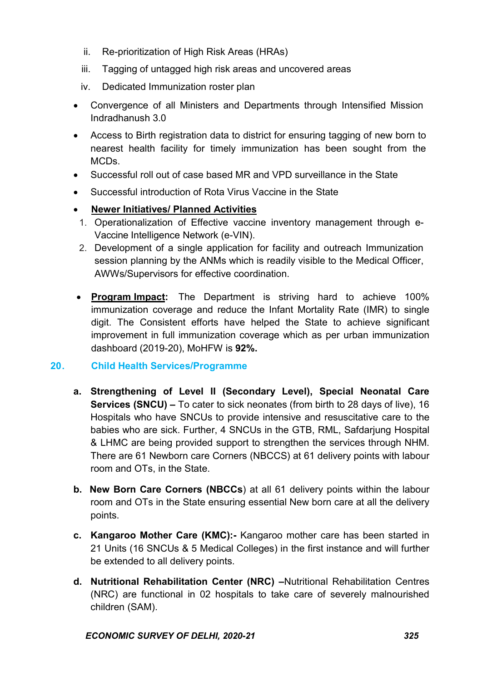- ii. Re-prioritization of High Risk Areas (HRAs)
- iii. Tagging of untagged high risk areas and uncovered areas
- iv. Dedicated Immunization roster plan
- Convergence of all Ministers and Departments through Intensified Mission Indradhanush 3.0
- Access to Birth registration data to district for ensuring tagging of new born to nearest health facility for timely immunization has been sought from the MCDs.
- Successful roll out of case based MR and VPD surveillance in the State
- Successful introduction of Rota Virus Vaccine in the State
- Newer Initiatives/ Planned Activities
	- 1. Operationalization of Effective vaccine inventory management through e-Vaccine Intelligence Network (e-VIN).
- 2. Development of a single application for facility and outreach Immunization session planning by the ANMs which is readily visible to the Medical Officer, AWWs/Supervisors for effective coordination.
- Program Impact: The Department is striving hard to achieve 100% immunization coverage and reduce the Infant Mortality Rate (IMR) to single digit. The Consistent efforts have helped the State to achieve significant improvement in full immunization coverage which as per urban immunization dashboard (2019-20), MoHFW is 92%.

### 20. Child Health Services/Programme

- a. Strengthening of Level II (Secondary Level), Special Neonatal Care Services (SNCU) – To cater to sick neonates (from birth to 28 days of live), 16 Hospitals who have SNCUs to provide intensive and resuscitative care to the babies who are sick. Further, 4 SNCUs in the GTB, RML, Safdarjung Hospital & LHMC are being provided support to strengthen the services through NHM. There are 61 Newborn care Corners (NBCCS) at 61 delivery points with labour room and OTs, in the State.
- b. New Born Care Corners (NBCCs) at all 61 delivery points within the labour room and OTs in the State ensuring essential New born care at all the delivery points.
- c. Kangaroo Mother Care (KMC):- Kangaroo mother care has been started in 21 Units (16 SNCUs & 5 Medical Colleges) in the first instance and will further be extended to all delivery points.
- d. Nutritional Rehabilitation Center (NRC) –Nutritional Rehabilitation Centres (NRC) are functional in 02 hospitals to take care of severely malnourished children (SAM).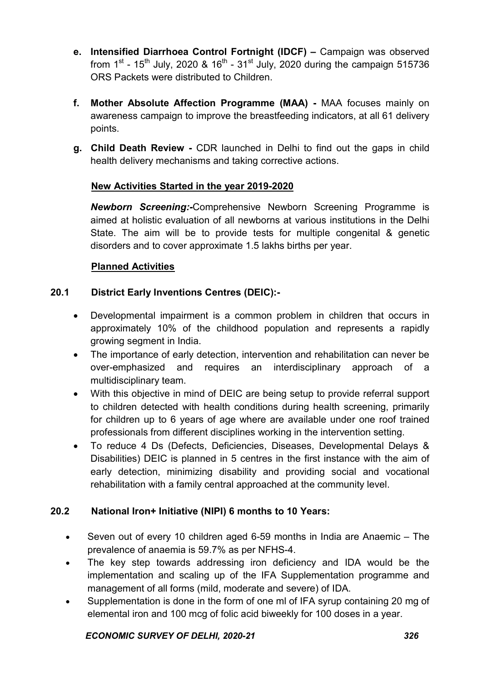- e. Intensified Diarrhoea Control Fortnight (IDCF) Campaign was observed from  $1^{st}$  - 15<sup>th</sup> July, 2020 & 16<sup>th</sup> - 31<sup>st</sup> July, 2020 during the campaign 515736 ORS Packets were distributed to Children.
- f. Mother Absolute Affection Programme (MAA) MAA focuses mainly on awareness campaign to improve the breastfeeding indicators, at all 61 delivery points.
- g. Child Death Review CDR launched in Delhi to find out the gaps in child health delivery mechanisms and taking corrective actions.

### New Activities Started in the year 2019-2020

Newborn Screening:-Comprehensive Newborn Screening Programme is aimed at holistic evaluation of all newborns at various institutions in the Delhi State. The aim will be to provide tests for multiple congenital & genetic disorders and to cover approximate 1.5 lakhs births per year.

### Planned Activities

### 20.1 District Early Inventions Centres (DEIC):-

- Developmental impairment is a common problem in children that occurs in approximately 10% of the childhood population and represents a rapidly growing segment in India.
- The importance of early detection, intervention and rehabilitation can never be over-emphasized and requires an interdisciplinary approach of a multidisciplinary team.
- With this objective in mind of DEIC are being setup to provide referral support to children detected with health conditions during health screening, primarily for children up to 6 years of age where are available under one roof trained professionals from different disciplines working in the intervention setting.
- To reduce 4 Ds (Defects, Deficiencies, Diseases, Developmental Delays & Disabilities) DEIC is planned in 5 centres in the first instance with the aim of early detection, minimizing disability and providing social and vocational rehabilitation with a family central approached at the community level.

### 20.2 National Iron+ Initiative (NIPI) 6 months to 10 Years:

- Seven out of every 10 children aged 6-59 months in India are Anaemic The prevalence of anaemia is 59.7% as per NFHS-4.
- The key step towards addressing iron deficiency and IDA would be the implementation and scaling up of the IFA Supplementation programme and management of all forms (mild, moderate and severe) of IDA.
- Supplementation is done in the form of one ml of IFA syrup containing 20 mg of elemental iron and 100 mcg of folic acid biweekly for 100 doses in a year.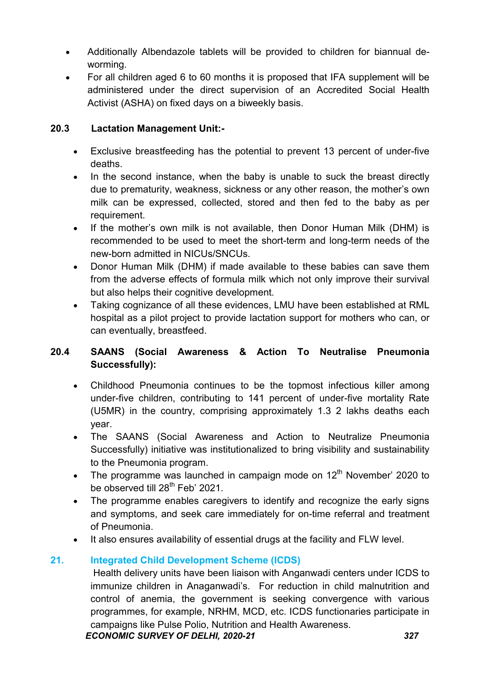- Additionally Albendazole tablets will be provided to children for biannual deworming.
- For all children aged 6 to 60 months it is proposed that IFA supplement will be administered under the direct supervision of an Accredited Social Health Activist (ASHA) on fixed days on a biweekly basis.

### 20.3 Lactation Management Unit:-

- Exclusive breastfeeding has the potential to prevent 13 percent of under-five deaths.
- In the second instance, when the baby is unable to suck the breast directly due to prematurity, weakness, sickness or any other reason, the mother's own milk can be expressed, collected, stored and then fed to the baby as per requirement.
- If the mother's own milk is not available, then Donor Human Milk (DHM) is recommended to be used to meet the short-term and long-term needs of the new-born admitted in NICUs/SNCUs.
- Donor Human Milk (DHM) if made available to these babies can save them from the adverse effects of formula milk which not only improve their survival but also helps their cognitive development.
- Taking cognizance of all these evidences, LMU have been established at RML hospital as a pilot project to provide lactation support for mothers who can, or can eventually, breastfeed.

### 20.4 SAANS (Social Awareness & Action To Neutralise Pneumonia Successfully):

- Childhood Pneumonia continues to be the topmost infectious killer among under-five children, contributing to 141 percent of under-five mortality Rate (U5MR) in the country, comprising approximately 1.3 2 lakhs deaths each year.
- The SAANS (Social Awareness and Action to Neutralize Pneumonia Successfully) initiative was institutionalized to bring visibility and sustainability to the Pneumonia program.
- The programme was launched in campaign mode on  $12<sup>th</sup>$  November' 2020 to be observed till 28<sup>th</sup> Feb' 2021.
- The programme enables caregivers to identify and recognize the early signs and symptoms, and seek care immediately for on-time referral and treatment of Pneumonia.
- It also ensures availability of essential drugs at the facility and FLW level.

### 21. Integrated Child Development Scheme (ICDS)

Health delivery units have been liaison with Anganwadi centers under ICDS to immunize children in Anaganwadi's. For reduction in child malnutrition and control of anemia, the government is seeking convergence with various programmes, for example, NRHM, MCD, etc. ICDS functionaries participate in campaigns like Pulse Polio, Nutrition and Health Awareness.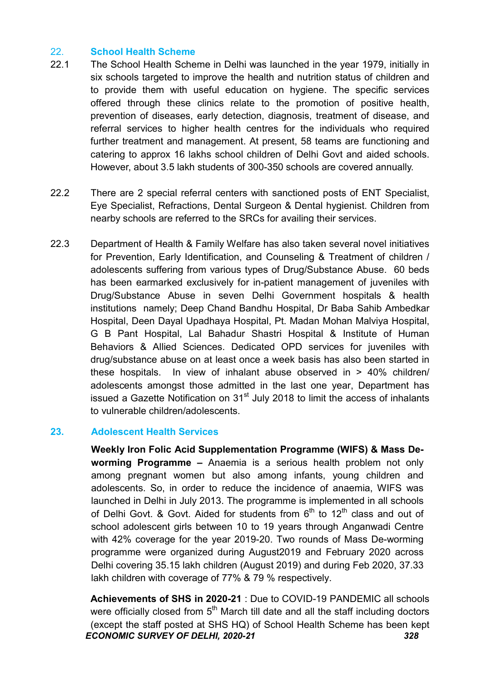### 22. School Health Scheme

- 22.1 The School Health Scheme in Delhi was launched in the year 1979, initially in six schools targeted to improve the health and nutrition status of children and to provide them with useful education on hygiene. The specific services offered through these clinics relate to the promotion of positive health, prevention of diseases, early detection, diagnosis, treatment of disease, and referral services to higher health centres for the individuals who required further treatment and management. At present, 58 teams are functioning and catering to approx 16 lakhs school children of Delhi Govt and aided schools. However, about 3.5 lakh students of 300-350 schools are covered annually.
- 22.2 There are 2 special referral centers with sanctioned posts of ENT Specialist, Eye Specialist, Refractions, Dental Surgeon & Dental hygienist. Children from nearby schools are referred to the SRCs for availing their services.
- 22.3 Department of Health & Family Welfare has also taken several novel initiatives for Prevention, Early Identification, and Counseling & Treatment of children / adolescents suffering from various types of Drug/Substance Abuse. 60 beds has been earmarked exclusively for in-patient management of juveniles with Drug/Substance Abuse in seven Delhi Government hospitals & health institutions namely; Deep Chand Bandhu Hospital, Dr Baba Sahib Ambedkar Hospital, Deen Dayal Upadhaya Hospital, Pt. Madan Mohan Malviya Hospital, G B Pant Hospital, Lal Bahadur Shastri Hospital & Institute of Human Behaviors & Allied Sciences. Dedicated OPD services for juveniles with drug/substance abuse on at least once a week basis has also been started in these hospitals. In view of inhalant abuse observed in > 40% children/ adolescents amongst those admitted in the last one year, Department has issued a Gazette Notification on  $31<sup>st</sup>$  July 2018 to limit the access of inhalants to vulnerable children/adolescents.

#### 23. Adolescent Health Services

Weekly Iron Folic Acid Supplementation Programme (WIFS) & Mass Deworming Programme – Anaemia is a serious health problem not only among pregnant women but also among infants, young children and adolescents. So, in order to reduce the incidence of anaemia, WIFS was launched in Delhi in July 2013. The programme is implemented in all schools of Delhi Govt. & Govt. Aided for students from  $6<sup>th</sup>$  to 12<sup>th</sup> class and out of school adolescent girls between 10 to 19 years through Anganwadi Centre with 42% coverage for the year 2019-20. Two rounds of Mass De-worming programme were organized during August2019 and February 2020 across Delhi covering 35.15 lakh children (August 2019) and during Feb 2020, 37.33 lakh children with coverage of 77% & 79 % respectively.

ECONOMIC SURVEY OF DELHI, 2020-21 328 Achievements of SHS in 2020-21 : Due to COVID-19 PANDEMIC all schools were officially closed from  $5<sup>th</sup>$  March till date and all the staff including doctors (except the staff posted at SHS HQ) of School Health Scheme has been kept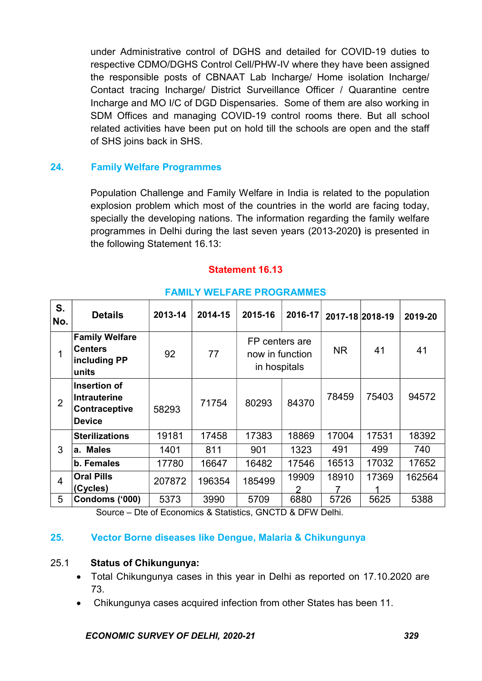under Administrative control of DGHS and detailed for COVID-19 duties to respective CDMO/DGHS Control Cell/PHW-IV where they have been assigned the responsible posts of CBNAAT Lab Incharge/ Home isolation Incharge/ Contact tracing Incharge/ District Surveillance Officer / Quarantine centre Incharge and MO I/C of DGD Dispensaries. Some of them are also working in SDM Offices and managing COVID-19 control rooms there. But all school related activities have been put on hold till the schools are open and the staff of SHS joins back in SHS.

#### 24. Family Welfare Programmes

 Population Challenge and Family Welfare in India is related to the population explosion problem which most of the countries in the world are facing today, specially the developing nations. The information regarding the family welfare programmes in Delhi during the last seven years (2013-2020) is presented in the following Statement 16.13:

#### Statement 16.13

| S.<br>No.      | <b>Details</b>                                                        | 2013-14 | 2014-15 | 2015-16                                           | 2016-17 | 2017-18 2018-19 |       | 2019-20 |
|----------------|-----------------------------------------------------------------------|---------|---------|---------------------------------------------------|---------|-----------------|-------|---------|
|                | <b>Family Welfare</b><br><b>Centers</b><br>including PP<br>units      | 92      | 77      | FP centers are<br>now in function<br>in hospitals |         | <b>NR</b>       | 41    | 41      |
| $\overline{2}$ | Insertion of<br><b>Intrauterine</b><br>Contraceptive<br><b>Device</b> | 58293   | 71754   | 80293                                             | 84370   | 78459           | 75403 | 94572   |
|                | <b>Sterilizations</b>                                                 | 19181   | 17458   | 17383                                             | 18869   | 17004           | 17531 | 18392   |
| 3              | <b>Males</b><br>а.                                                    | 1401    | 811     | 901                                               | 1323    | 491             | 499   | 740     |
|                | b. Females                                                            | 17780   | 16647   | 16482                                             | 17546   | 16513           | 17032 | 17652   |
| $\overline{4}$ | <b>Oral Pills</b><br>(Cycles)                                         | 207872  | 196354  | 185499                                            | 19909   | 18910           | 17369 | 162564  |
| 5              | Condoms ('000)                                                        | 5373    | 3990    | 5709                                              | 6880    | 5726            | 5625  | 5388    |

#### FAMILY WELFARE PROGRAMMES

Source – Dte of Economics & Statistics, GNCTD & DFW Delhi.

#### 25. Vector Borne diseases like Dengue, Malaria & Chikungunya

#### 25.1 Status of Chikungunya:

- Total Chikungunya cases in this year in Delhi as reported on 17.10.2020 are 73.
- Chikungunya cases acquired infection from other States has been 11.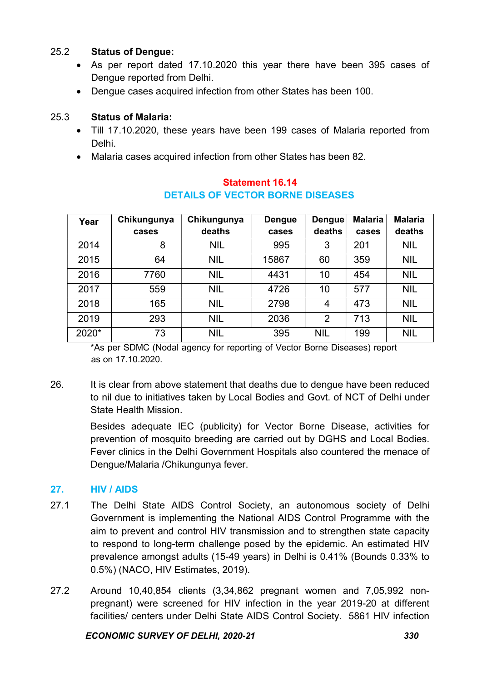### 25.2 Status of Dengue:

- As per report dated 17.10.2020 this year there have been 395 cases of Dengue reported from Delhi.
- Dengue cases acquired infection from other States has been 100.

### 25.3 Status of Malaria:

- Till 17.10.2020, these years have been 199 cases of Malaria reported from Delhi.
- Malaria cases acquired infection from other States has been 82.

| Year  | Chikungunya | Chikungunya | <b>Dengue</b> | Dengue         | <b>Malaria</b> | <b>Malaria</b> |
|-------|-------------|-------------|---------------|----------------|----------------|----------------|
|       | cases       | deaths      | cases         | deaths         | cases          | deaths         |
| 2014  | 8           | <b>NIL</b>  | 995           | 3              | 201            | <b>NIL</b>     |
| 2015  | 64          | <b>NIL</b>  | 15867         | 60             | 359            | <b>NIL</b>     |
| 2016  | 7760        | <b>NIL</b>  | 4431          | 10             | 454            | <b>NIL</b>     |
| 2017  | 559         | <b>NIL</b>  | 4726          | 10             | 577            | <b>NIL</b>     |
| 2018  | 165         | <b>NIL</b>  | 2798          | 4              | 473            | <b>NIL</b>     |
| 2019  | 293         | <b>NIL</b>  | 2036          | $\overline{2}$ | 713            | <b>NIL</b>     |
| 2020* | 73          | <b>NIL</b>  | 395           | <b>NIL</b>     | 199            | <b>NIL</b>     |

#### Statement 16.14 DETAILS OF VECTOR BORNE DISEASES

\*As per SDMC (Nodal agency for reporting of Vector Borne Diseases) report as on 17.10.2020.

26. It is clear from above statement that deaths due to dengue have been reduced to nil due to initiatives taken by Local Bodies and Govt. of NCT of Delhi under State Health Mission.

> Besides adequate IEC (publicity) for Vector Borne Disease, activities for prevention of mosquito breeding are carried out by DGHS and Local Bodies. Fever clinics in the Delhi Government Hospitals also countered the menace of Dengue/Malaria /Chikungunya fever.

### 27. HIV / AIDS

- 27.1 The Delhi State AIDS Control Society, an autonomous society of Delhi Government is implementing the National AIDS Control Programme with the aim to prevent and control HIV transmission and to strengthen state capacity to respond to long-term challenge posed by the epidemic. An estimated HIV prevalence amongst adults (15-49 years) in Delhi is 0.41% (Bounds 0.33% to 0.5%) (NACO, HIV Estimates, 2019).
- 27.2 Around 10,40,854 clients (3,34,862 pregnant women and 7,05,992 nonpregnant) were screened for HIV infection in the year 2019-20 at different facilities/ centers under Delhi State AIDS Control Society. 5861 HIV infection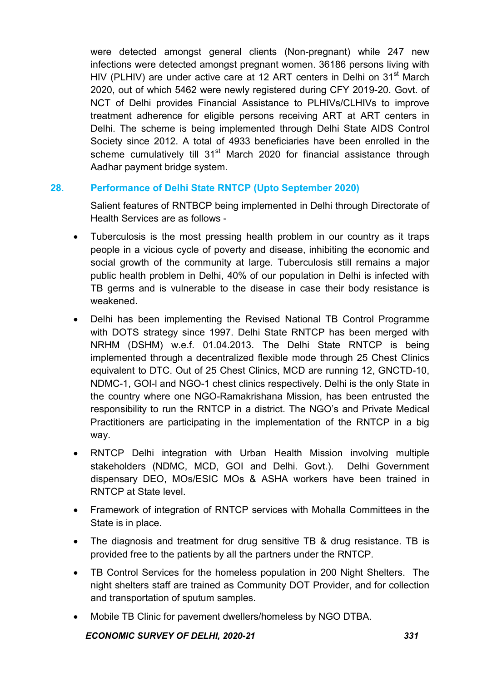were detected amongst general clients (Non-pregnant) while 247 new infections were detected amongst pregnant women. 36186 persons living with HIV (PLHIV) are under active care at 12 ART centers in Delhi on 31<sup>st</sup> March 2020, out of which 5462 were newly registered during CFY 2019-20. Govt. of NCT of Delhi provides Financial Assistance to PLHIVs/CLHIVs to improve treatment adherence for eligible persons receiving ART at ART centers in Delhi. The scheme is being implemented through Delhi State AIDS Control Society since 2012. A total of 4933 beneficiaries have been enrolled in the scheme cumulatively till 31<sup>st</sup> March 2020 for financial assistance through Aadhar payment bridge system.

#### 28. Performance of Delhi State RNTCP (Upto September 2020)

Salient features of RNTBCP being implemented in Delhi through Directorate of Health Services are as follows -

- Tuberculosis is the most pressing health problem in our country as it traps people in a vicious cycle of poverty and disease, inhibiting the economic and social growth of the community at large. Tuberculosis still remains a major public health problem in Delhi, 40% of our population in Delhi is infected with TB germs and is vulnerable to the disease in case their body resistance is weakened.
- Delhi has been implementing the Revised National TB Control Programme with DOTS strategy since 1997. Delhi State RNTCP has been merged with NRHM (DSHM) w.e.f. 01.04.2013. The Delhi State RNTCP is being implemented through a decentralized flexible mode through 25 Chest Clinics equivalent to DTC. Out of 25 Chest Clinics, MCD are running 12, GNCTD-10, NDMC-1, GOI-l and NGO-1 chest clinics respectively. Delhi is the only State in the country where one NGO-Ramakrishana Mission, has been entrusted the responsibility to run the RNTCP in a district. The NGO's and Private Medical Practitioners are participating in the implementation of the RNTCP in a big way.
- RNTCP Delhi integration with Urban Health Mission involving multiple stakeholders (NDMC, MCD, GOI and Delhi. Govt.). Delhi Government dispensary DEO, MOs/ESIC MOs & ASHA workers have been trained in RNTCP at State level.
- Framework of integration of RNTCP services with Mohalla Committees in the State is in place.
- The diagnosis and treatment for drug sensitive TB & drug resistance. TB is provided free to the patients by all the partners under the RNTCP.
- TB Control Services for the homeless population in 200 Night Shelters. The night shelters staff are trained as Community DOT Provider, and for collection and transportation of sputum samples.
- Mobile TB Clinic for pavement dwellers/homeless by NGO DTBA.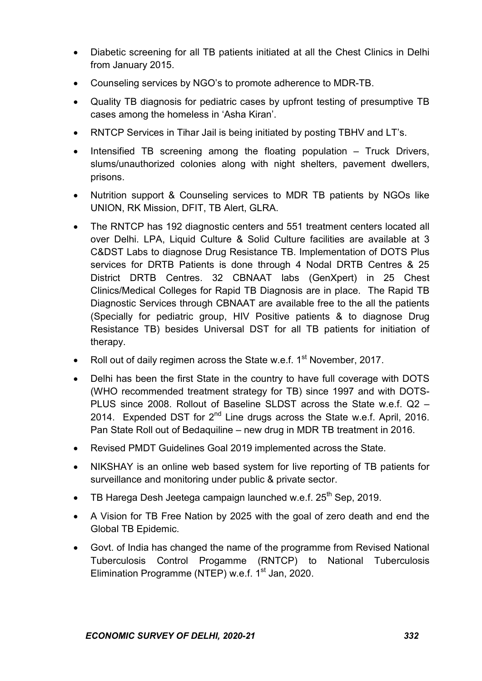- Diabetic screening for all TB patients initiated at all the Chest Clinics in Delhi from January 2015.
- Counseling services by NGO's to promote adherence to MDR-TB.
- Quality TB diagnosis for pediatric cases by upfront testing of presumptive TB cases among the homeless in 'Asha Kiran'.
- RNTCP Services in Tihar Jail is being initiated by posting TBHV and LT's.
- $\bullet$  Intensified TB screening among the floating population  $-$  Truck Drivers, slums/unauthorized colonies along with night shelters, pavement dwellers, prisons.
- Nutrition support & Counseling services to MDR TB patients by NGOs like UNION, RK Mission, DFIT, TB Alert, GLRA.
- The RNTCP has 192 diagnostic centers and 551 treatment centers located all over Delhi. LPA, Liquid Culture & Solid Culture facilities are available at 3 C&DST Labs to diagnose Drug Resistance TB. Implementation of DOTS Plus services for DRTB Patients is done through 4 Nodal DRTB Centres & 25 District DRTB Centres. 32 CBNAAT labs (GenXpert) in 25 Chest Clinics/Medical Colleges for Rapid TB Diagnosis are in place. The Rapid TB Diagnostic Services through CBNAAT are available free to the all the patients (Specially for pediatric group, HIV Positive patients & to diagnose Drug Resistance TB) besides Universal DST for all TB patients for initiation of therapy.
- Roll out of daily regimen across the State w.e.f. 1<sup>st</sup> November, 2017.
- Delhi has been the first State in the country to have full coverage with DOTS (WHO recommended treatment strategy for TB) since 1997 and with DOTS-PLUS since 2008. Rollout of Baseline SLDST across the State w.e.f. Q2 – 2014. Expended DST for  $2^{nd}$  Line drugs across the State w.e.f. April, 2016. Pan State Roll out of Bedaquiline – new drug in MDR TB treatment in 2016.
- Revised PMDT Guidelines Goal 2019 implemented across the State.
- NIKSHAY is an online web based system for live reporting of TB patients for surveillance and monitoring under public & private sector.
- $\bullet$  TB Harega Desh Jeetega campaign launched w.e.f. 25<sup>th</sup> Sep. 2019.
- A Vision for TB Free Nation by 2025 with the goal of zero death and end the Global TB Epidemic.
- Govt. of India has changed the name of the programme from Revised National Tuberculosis Control Progamme (RNTCP) to National Tuberculosis Elimination Programme (NTEP) w.e.f. 1<sup>st</sup> Jan. 2020.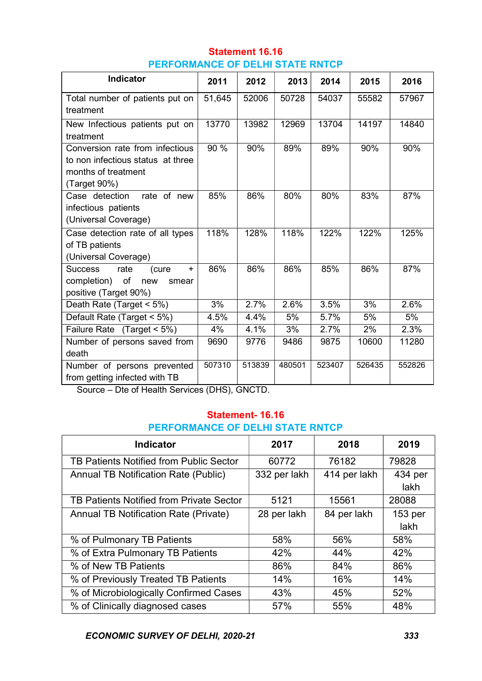| <b>Statement 16.16</b>                  |
|-----------------------------------------|
| <b>PERFORMANCE OF DELHI STATE RNTCP</b> |

| <b>Indicator</b>                      | 2011   | 2012   | 2013   | 2014   | 2015   | 2016   |
|---------------------------------------|--------|--------|--------|--------|--------|--------|
| Total number of patients put on       | 51,645 | 52006  | 50728  | 54037  | 55582  | 57967  |
| treatment                             |        |        |        |        |        |        |
| New Infectious patients put on        | 13770  | 13982  | 12969  | 13704  | 14197  | 14840  |
| treatment                             |        |        |        |        |        |        |
| Conversion rate from infectious       | 90 %   | 90%    | 89%    | 89%    | 90%    | 90%    |
| to non infectious status at three     |        |        |        |        |        |        |
| months of treatment                   |        |        |        |        |        |        |
| (Target 90%)                          |        |        |        |        |        |        |
| rate of new<br>Case detection         | 85%    | 86%    | 80%    | 80%    | 83%    | 87%    |
| infectious patients                   |        |        |        |        |        |        |
| (Universal Coverage)                  |        |        |        |        |        |        |
| Case detection rate of all types      | 118%   | 128%   | 118%   | 122%   | 122%   | 125%   |
| of TB patients                        |        |        |        |        |        |        |
| (Universal Coverage)                  |        |        |        |        |        |        |
| rate<br><b>Success</b><br>(cure<br>÷. | 86%    | 86%    | 86%    | 85%    | 86%    | 87%    |
| completion) of<br>new<br>smear        |        |        |        |        |        |        |
| positive (Target 90%)                 |        |        |        |        |        |        |
| Death Rate (Target < 5%)              | 3%     | 2.7%   | 2.6%   | 3.5%   | 3%     | 2.6%   |
| Default Rate (Target < 5%)            | 4.5%   | 4.4%   | 5%     | 5.7%   | 5%     | 5%     |
| Failure Rate (Target < 5%)            | 4%     | 4.1%   | 3%     | 2.7%   | 2%     | 2.3%   |
| Number of persons saved from          | 9690   | 9776   | 9486   | 9875   | 10600  | 11280  |
| death                                 |        |        |        |        |        |        |
| Number of persons prevented           | 507310 | 513839 | 480501 | 523407 | 526435 | 552826 |
| from getting infected with TB         |        |        |        |        |        |        |

Source – Dte of Health Services (DHS), GNCTD.

#### Statement- 16.16 PERFORMANCE OF DELHI STATE RNTCP

| <b>Indicator</b>                             | 2017         | 2018         | 2019    |
|----------------------------------------------|--------------|--------------|---------|
| TB Patients Notified from Public Sector      | 60772        | 76182        | 79828   |
| <b>Annual TB Notification Rate (Public)</b>  | 332 per lakh | 414 per lakh | 434 per |
|                                              |              |              | lakh    |
| TB Patients Notified from Private Sector     | 5121         | 15561        | 28088   |
| <b>Annual TB Notification Rate (Private)</b> | 28 per lakh  | 84 per lakh  | 153 per |
|                                              |              |              | lakh    |
| % of Pulmonary TB Patients                   | 58%          | 56%          | 58%     |
| % of Extra Pulmonary TB Patients             | 42%          | 44%          | 42%     |
| % of New TB Patients                         | 86%          | 84%          | 86%     |
| % of Previously Treated TB Patients          | 14%          | 16%          | 14%     |
| % of Microbiologically Confirmed Cases       | 43%          | 45%          | 52%     |
| % of Clinically diagnosed cases              | 57%          | 55%          | 48%     |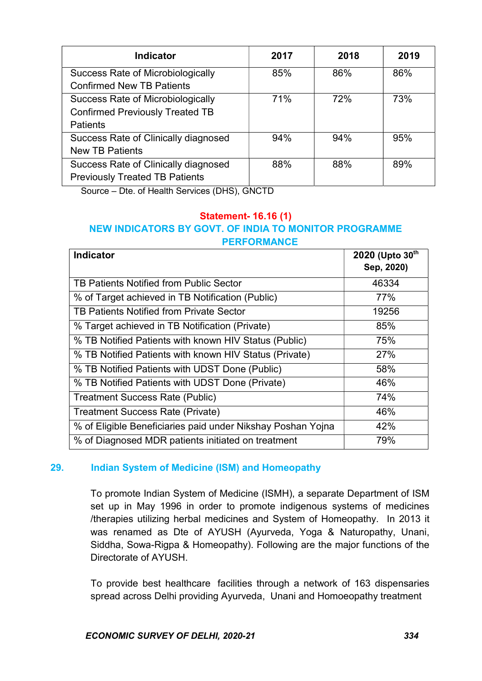| <b>Indicator</b>                         | 2017 | 2018 | 2019 |
|------------------------------------------|------|------|------|
| Success Rate of Microbiologically        | 85%  | 86%  | 86%  |
| <b>Confirmed New TB Patients</b>         |      |      |      |
| <b>Success Rate of Microbiologically</b> | 71%  | 72%  | 73%  |
| <b>Confirmed Previously Treated TB</b>   |      |      |      |
| <b>Patients</b>                          |      |      |      |
| Success Rate of Clinically diagnosed     | 94%  | 94%  | 95%  |
| <b>New TB Patients</b>                   |      |      |      |
| Success Rate of Clinically diagnosed     | 88%  | 88%  | 89%  |
| <b>Previously Treated TB Patients</b>    |      |      |      |

Source – Dte. of Health Services (DHS), GNCTD

#### Statement- 16.16 (1) NEW INDICATORS BY GOVT. OF INDIA TO MONITOR PROGRAMME PERFORMANCE

| <b>Indicator</b>                                            | 2020 (Upto 30th<br>Sep, 2020) |
|-------------------------------------------------------------|-------------------------------|
| TB Patients Notified from Public Sector                     | 46334                         |
| % of Target achieved in TB Notification (Public)            | 77%                           |
| TB Patients Notified from Private Sector                    | 19256                         |
| % Target achieved in TB Notification (Private)              | 85%                           |
| % TB Notified Patients with known HIV Status (Public)       | 75%                           |
| % TB Notified Patients with known HIV Status (Private)      | 27%                           |
| % TB Notified Patients with UDST Done (Public)              | 58%                           |
| % TB Notified Patients with UDST Done (Private)             | 46%                           |
| <b>Treatment Success Rate (Public)</b>                      | 74%                           |
| <b>Treatment Success Rate (Private)</b>                     | 46%                           |
| % of Eligible Beneficiaries paid under Nikshay Poshan Yojna | 42%                           |
| % of Diagnosed MDR patients initiated on treatment          | 79%                           |

#### 29. Indian System of Medicine (ISM) and Homeopathy

 To promote Indian System of Medicine (ISMH), a separate Department of ISM set up in May 1996 in order to promote indigenous systems of medicines /therapies utilizing herbal medicines and System of Homeopathy. In 2013 it was renamed as Dte of AYUSH (Ayurveda, Yoga & Naturopathy, Unani, Siddha, Sowa-Rigpa & Homeopathy). Following are the major functions of the Directorate of AYUSH.

 To provide best healthcare facilities through a network of 163 dispensaries spread across Delhi providing Ayurveda, Unani and Homoeopathy treatment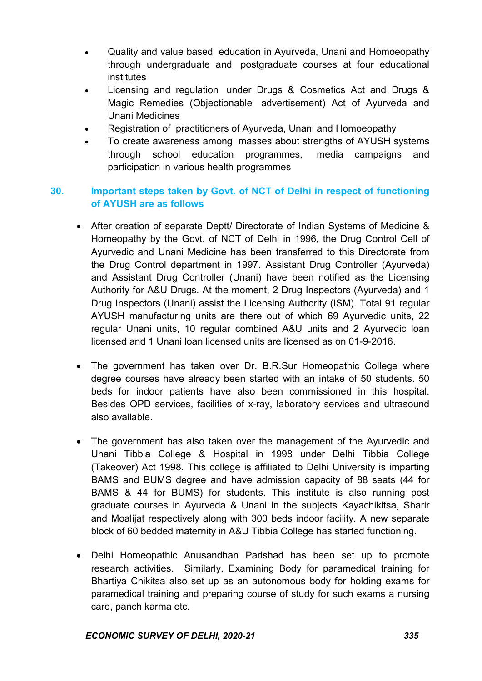- Quality and value based education in Ayurveda, Unani and Homoeopathy through undergraduate and postgraduate courses at four educational institutes
- Licensing and regulation under Drugs & Cosmetics Act and Drugs & Magic Remedies (Objectionable advertisement) Act of Ayurveda and Unani Medicines
- Registration of practitioners of Ayurveda, Unani and Homoeopathy
- To create awareness among masses about strengths of AYUSH systems through school education programmes, media campaigns and participation in various health programmes

### 30. Important steps taken by Govt. of NCT of Delhi in respect of functioning of AYUSH are as follows

- After creation of separate Deptt/ Directorate of Indian Systems of Medicine & Homeopathy by the Govt. of NCT of Delhi in 1996, the Drug Control Cell of Ayurvedic and Unani Medicine has been transferred to this Directorate from the Drug Control department in 1997. Assistant Drug Controller (Ayurveda) and Assistant Drug Controller (Unani) have been notified as the Licensing Authority for A&U Drugs. At the moment, 2 Drug Inspectors (Ayurveda) and 1 Drug Inspectors (Unani) assist the Licensing Authority (ISM). Total 91 regular AYUSH manufacturing units are there out of which 69 Ayurvedic units, 22 regular Unani units, 10 regular combined A&U units and 2 Ayurvedic loan licensed and 1 Unani loan licensed units are licensed as on 01-9-2016.
- The government has taken over Dr. B.R.Sur Homeopathic College where degree courses have already been started with an intake of 50 students. 50 beds for indoor patients have also been commissioned in this hospital. Besides OPD services, facilities of x-ray, laboratory services and ultrasound also available.
- The government has also taken over the management of the Ayurvedic and Unani Tibbia College & Hospital in 1998 under Delhi Tibbia College (Takeover) Act 1998. This college is affiliated to Delhi University is imparting BAMS and BUMS degree and have admission capacity of 88 seats (44 for BAMS & 44 for BUMS) for students. This institute is also running post graduate courses in Ayurveda & Unani in the subjects Kayachikitsa, Sharir and Moalijat respectively along with 300 beds indoor facility. A new separate block of 60 bedded maternity in A&U Tibbia College has started functioning.
- Delhi Homeopathic Anusandhan Parishad has been set up to promote research activities. Similarly, Examining Body for paramedical training for Bhartiya Chikitsa also set up as an autonomous body for holding exams for paramedical training and preparing course of study for such exams a nursing care, panch karma etc.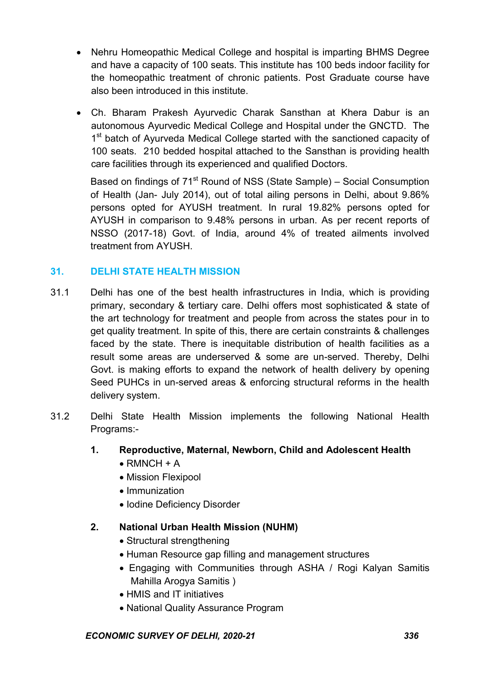- Nehru Homeopathic Medical College and hospital is imparting BHMS Degree and have a capacity of 100 seats. This institute has 100 beds indoor facility for the homeopathic treatment of chronic patients. Post Graduate course have also been introduced in this institute.
- Ch. Bharam Prakesh Ayurvedic Charak Sansthan at Khera Dabur is an autonomous Ayurvedic Medical College and Hospital under the GNCTD. The 1<sup>st</sup> batch of Ayurveda Medical College started with the sanctioned capacity of 100 seats. 210 bedded hospital attached to the Sansthan is providing health care facilities through its experienced and qualified Doctors.

Based on findings of  $71<sup>st</sup>$  Round of NSS (State Sample) – Social Consumption of Health (Jan- July 2014), out of total ailing persons in Delhi, about 9.86% persons opted for AYUSH treatment. In rural 19.82% persons opted for AYUSH in comparison to 9.48% persons in urban. As per recent reports of NSSO (2017-18) Govt. of India, around 4% of treated ailments involved treatment from AYUSH.

### 31. DELHI STATE HEALTH MISSION

- 31.1 Delhi has one of the best health infrastructures in India, which is providing primary, secondary & tertiary care. Delhi offers most sophisticated & state of the art technology for treatment and people from across the states pour in to get quality treatment. In spite of this, there are certain constraints & challenges faced by the state. There is inequitable distribution of health facilities as a result some areas are underserved & some are un-served. Thereby, Delhi Govt. is making efforts to expand the network of health delivery by opening Seed PUHCs in un-served areas & enforcing structural reforms in the health delivery system.
- 31.2 Delhi State Health Mission implements the following National Health Programs:-
	- 1. Reproductive, Maternal, Newborn, Child and Adolescent Health
		- $\bullet$  RMNCH + A
		- Mission Flexipool
		- Immunization
		- Iodine Deficiency Disorder

#### 2. National Urban Health Mission (NUHM)

- Structural strengthening
- Human Resource gap filling and management structures
- Engaging with Communities through ASHA / Rogi Kalyan Samitis Mahilla Arogya Samitis )
- HMIS and IT initiatives
- National Quality Assurance Program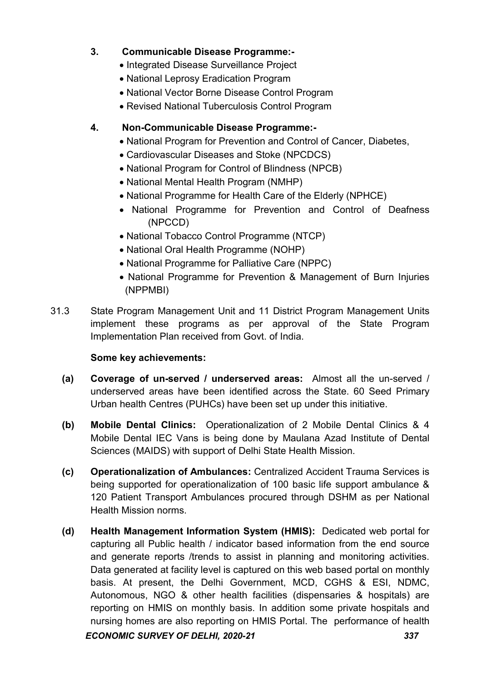### 3. Communicable Disease Programme:-

- Integrated Disease Surveillance Project
- National Leprosy Eradication Program
- National Vector Borne Disease Control Program
- Revised National Tuberculosis Control Program

### 4. Non-Communicable Disease Programme:-

- National Program for Prevention and Control of Cancer, Diabetes,
- Cardiovascular Diseases and Stoke (NPCDCS)
- National Program for Control of Blindness (NPCB)
- National Mental Health Program (NMHP)
- National Programme for Health Care of the Elderly (NPHCE)
- National Programme for Prevention and Control of Deafness (NPCCD)
- National Tobacco Control Programme (NTCP)
- National Oral Health Programme (NOHP)
- National Programme for Palliative Care (NPPC)
- National Programme for Prevention & Management of Burn Injuries (NPPMBI)
- 31.3 State Program Management Unit and 11 District Program Management Units implement these programs as per approval of the State Program Implementation Plan received from Govt. of India.

#### Some key achievements:

- (a) Coverage of un-served / underserved areas: Almost all the un-served / underserved areas have been identified across the State. 60 Seed Primary Urban health Centres (PUHCs) have been set up under this initiative.
- (b) Mobile Dental Clinics: Operationalization of 2 Mobile Dental Clinics & 4 Mobile Dental IEC Vans is being done by Maulana Azad Institute of Dental Sciences (MAIDS) with support of Delhi State Health Mission.
- (c) Operationalization of Ambulances: Centralized Accident Trauma Services is being supported for operationalization of 100 basic life support ambulance & 120 Patient Transport Ambulances procured through DSHM as per National Health Mission norms.
- ECONOMIC SURVEY OF DELHI, 2020-21 337 (d) Health Management Information System (HMIS): Dedicated web portal for capturing all Public health / indicator based information from the end source and generate reports /trends to assist in planning and monitoring activities. Data generated at facility level is captured on this web based portal on monthly basis. At present, the Delhi Government, MCD, CGHS & ESI, NDMC, Autonomous, NGO & other health facilities (dispensaries & hospitals) are reporting on HMIS on monthly basis. In addition some private hospitals and nursing homes are also reporting on HMIS Portal. The performance of health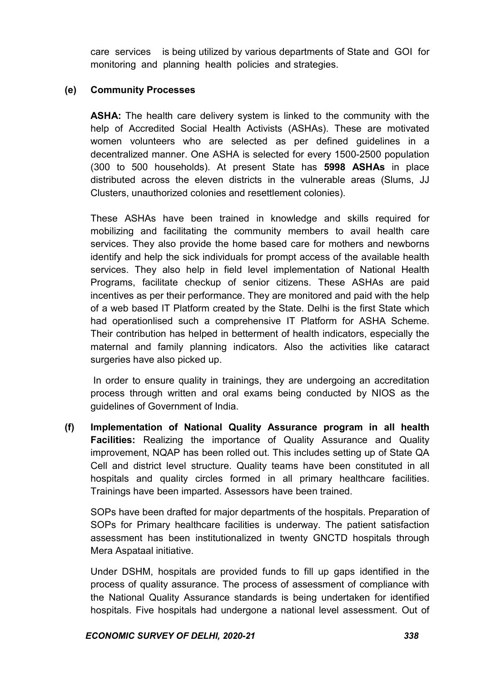care services is being utilized by various departments of State and GOI for monitoring and planning health policies and strategies.

#### (e) Community Processes

ASHA: The health care delivery system is linked to the community with the help of Accredited Social Health Activists (ASHAs). These are motivated women volunteers who are selected as per defined guidelines in a decentralized manner. One ASHA is selected for every 1500-2500 population (300 to 500 households). At present State has 5998 ASHAs in place distributed across the eleven districts in the vulnerable areas (Slums, JJ Clusters, unauthorized colonies and resettlement colonies).

These ASHAs have been trained in knowledge and skills required for mobilizing and facilitating the community members to avail health care services. They also provide the home based care for mothers and newborns identify and help the sick individuals for prompt access of the available health services. They also help in field level implementation of National Health Programs, facilitate checkup of senior citizens. These ASHAs are paid incentives as per their performance. They are monitored and paid with the help of a web based IT Platform created by the State. Delhi is the first State which had operationlised such a comprehensive IT Platform for ASHA Scheme. Their contribution has helped in betterment of health indicators, especially the maternal and family planning indicators. Also the activities like cataract surgeries have also picked up.

 In order to ensure quality in trainings, they are undergoing an accreditation process through written and oral exams being conducted by NIOS as the guidelines of Government of India.

 (f) Implementation of National Quality Assurance program in all health Facilities: Realizing the importance of Quality Assurance and Quality improvement, NQAP has been rolled out. This includes setting up of State QA Cell and district level structure. Quality teams have been constituted in all hospitals and quality circles formed in all primary healthcare facilities. Trainings have been imparted. Assessors have been trained.

SOPs have been drafted for major departments of the hospitals. Preparation of SOPs for Primary healthcare facilities is underway. The patient satisfaction assessment has been institutionalized in twenty GNCTD hospitals through Mera Aspataal initiative.

Under DSHM, hospitals are provided funds to fill up gaps identified in the process of quality assurance. The process of assessment of compliance with the National Quality Assurance standards is being undertaken for identified hospitals. Five hospitals had undergone a national level assessment. Out of